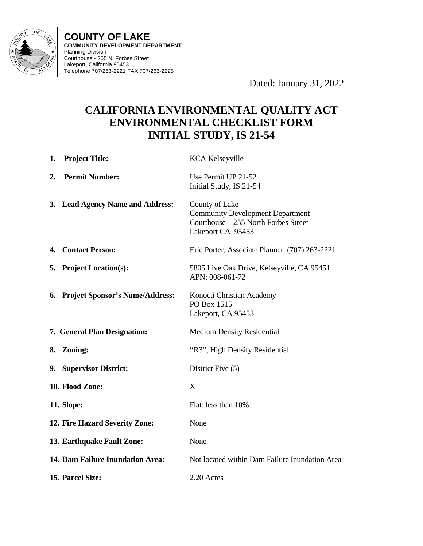

**COUNTY OF LAKE COMMUNITY DEVELOPMENT DEPARTMENT** Planning Division Courthouse - 255 N. Forbes Street Lakeport, California 95453 Telephone 707/263-2221 FAX 707/263-2225

Dated: January 31, 2022

# **CALIFORNIA ENVIRONMENTAL QUALITY ACT ENVIRONMENTAL CHECKLIST FORM INITIAL STUDY, IS 21-54**

| 1. | <b>Project Title:</b>              | <b>KCA Kelseyville</b>                                                                                                 |
|----|------------------------------------|------------------------------------------------------------------------------------------------------------------------|
| 2. | <b>Permit Number:</b>              | Use Permit UP 21-52<br>Initial Study, IS 21-54                                                                         |
|    | 3. Lead Agency Name and Address:   | County of Lake<br><b>Community Development Department</b><br>Courthouse – 255 North Forbes Street<br>Lakeport CA 95453 |
|    | 4. Contact Person:                 | Eric Porter, Associate Planner (707) 263-2221                                                                          |
|    | 5. Project Location(s):            | 5805 Live Oak Drive, Kelseyville, CA 95451<br>APN: 008-061-72                                                          |
|    | 6. Project Sponsor's Name/Address: | Konocti Christian Academy<br>PO Box 1515<br>Lakeport, CA 95453                                                         |
|    | 7. General Plan Designation:       | <b>Medium Density Residential</b>                                                                                      |
|    | 8. Zoning:                         | "R3"; High Density Residential                                                                                         |
|    | 9. Supervisor District:            | District Five (5)                                                                                                      |
|    | 10. Flood Zone:                    | X                                                                                                                      |
|    | 11. Slope:                         | Flat; less than 10%                                                                                                    |
|    | 12. Fire Hazard Severity Zone:     | None                                                                                                                   |
|    | 13. Earthquake Fault Zone:         | None                                                                                                                   |
|    | 14. Dam Failure Inundation Area:   | Not located within Dam Failure Inundation Area                                                                         |
|    | 15. Parcel Size:                   | 2.20 Acres                                                                                                             |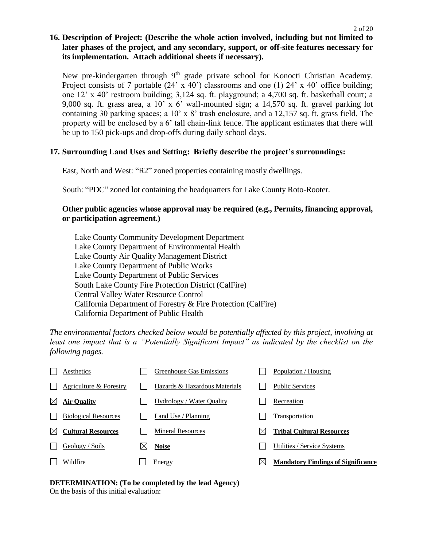# **16. Description of Project: (Describe the whole action involved, including but not limited to later phases of the project, and any secondary, support, or off-site features necessary for its implementation. Attach additional sheets if necessary).**

New pre-kindergarten through 9<sup>th</sup> grade private school for Konocti Christian Academy. Project consists of 7 portable  $(24 \text{ x } 40)$  classrooms and one  $(1)$  24' x 40' office building; one 12' x 40' restroom building; 3,124 sq. ft. playground; a 4,700 sq. ft. basketball court; a 9,000 sq. ft. grass area, a 10' x 6' wall-mounted sign; a 14,570 sq. ft. gravel parking lot containing 30 parking spaces; a 10' x 8' trash enclosure, and a 12,157 sq. ft. grass field. The property will be enclosed by a 6' tall chain-link fence. The applicant estimates that there will be up to 150 pick-ups and drop-offs during daily school days.

# **17. Surrounding Land Uses and Setting: Briefly describe the project's surroundings:**

East, North and West: "R2" zoned properties containing mostly dwellings.

South: "PDC" zoned lot containing the headquarters for Lake County Roto-Rooter.

## **Other public agencies whose approval may be required (e.g., Permits, financing approval, or participation agreement.)**

Lake County Community Development Department Lake County Department of Environmental Health Lake County Air Quality Management District Lake County Department of Public Works Lake County Department of Public Services South Lake County Fire Protection District (CalFire) Central Valley Water Resource Control California Department of Forestry & Fire Protection (CalFire) California Department of Public Health

*The environmental factors checked below would be potentially affected by this project, involving at least one impact that is a "Potentially Significant Impact" as indicated by the checklist on the following pages.*

| Aesthetics                  | Greenhouse Gas Emissions      |    | Population / Housing                      |
|-----------------------------|-------------------------------|----|-------------------------------------------|
| Agriculture & Forestry      | Hazards & Hazardous Materials |    | <b>Public Services</b>                    |
| <b>Air Quality</b>          | Hydrology / Water Quality     |    | Recreation                                |
| <b>Biological Resources</b> | <b>Land Use / Planning</b>    |    | Transportation                            |
| <b>Cultural Resources</b>   | <b>Mineral Resources</b>      | IX | <b>Tribal Cultural Resources</b>          |
| Geology / Soils             | <b>Noise</b>                  |    | Utilities / Service Systems               |
| Wildfire                    | Energy                        | ⋉  | <b>Mandatory Findings of Significance</b> |

#### **DETERMINATION: (To be completed by the lead Agency)** On the basis of this initial evaluation: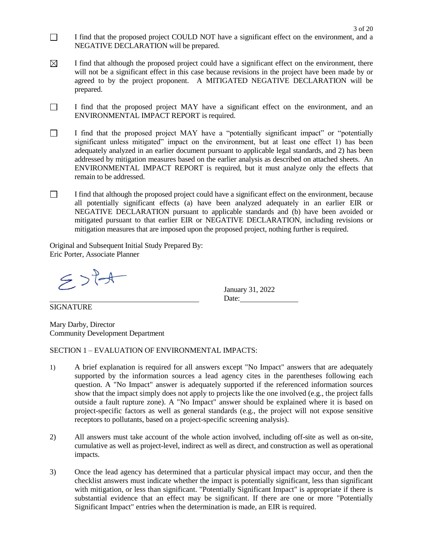- $\Box$ I find that the proposed project COULD NOT have a significant effect on the environment, and a NEGATIVE DECLARATION will be prepared.
- $\boxtimes$ I find that although the proposed project could have a significant effect on the environment, there will not be a significant effect in this case because revisions in the project have been made by or agreed to by the project proponent. A MITIGATED NEGATIVE DECLARATION will be prepared.
- $\Box$ I find that the proposed project MAY have a significant effect on the environment, and an ENVIRONMENTAL IMPACT REPORT is required.
- $\Box$ I find that the proposed project MAY have a "potentially significant impact" or "potentially significant unless mitigated" impact on the environment, but at least one effect 1) has been adequately analyzed in an earlier document pursuant to applicable legal standards, and 2) has been addressed by mitigation measures based on the earlier analysis as described on attached sheets. An ENVIRONMENTAL IMPACT REPORT is required, but it must analyze only the effects that remain to be addressed.
- $\Box$ I find that although the proposed project could have a significant effect on the environment, because all potentially significant effects (a) have been analyzed adequately in an earlier EIR or NEGATIVE DECLARATION pursuant to applicable standards and (b) have been avoided or mitigated pursuant to that earlier EIR or NEGATIVE DECLARATION, including revisions or mitigation measures that are imposed upon the proposed project, nothing further is required.

Original and Subsequent Initial Study Prepared By: Eric Porter, Associate Planner

 $537$ 

January 31, 2022 Date:

SIGNATURE

Mary Darby, Director Community Development Department

## SECTION 1 – EVALUATION OF ENVIRONMENTAL IMPACTS:

- 1) A brief explanation is required for all answers except "No Impact" answers that are adequately supported by the information sources a lead agency cites in the parentheses following each question. A "No Impact" answer is adequately supported if the referenced information sources show that the impact simply does not apply to projects like the one involved (e.g., the project falls outside a fault rupture zone). A "No Impact" answer should be explained where it is based on project-specific factors as well as general standards (e.g., the project will not expose sensitive receptors to pollutants, based on a project-specific screening analysis).
- 2) All answers must take account of the whole action involved, including off-site as well as on-site, cumulative as well as project-level, indirect as well as direct, and construction as well as operational impacts.
- 3) Once the lead agency has determined that a particular physical impact may occur, and then the checklist answers must indicate whether the impact is potentially significant, less than significant with mitigation, or less than significant. "Potentially Significant Impact" is appropriate if there is substantial evidence that an effect may be significant. If there are one or more "Potentially Significant Impact" entries when the determination is made, an EIR is required.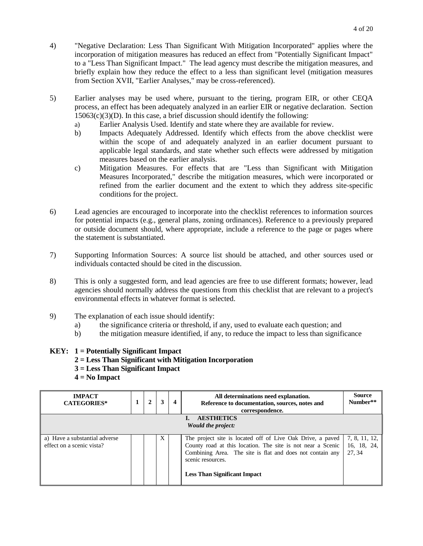- 4) "Negative Declaration: Less Than Significant With Mitigation Incorporated" applies where the incorporation of mitigation measures has reduced an effect from "Potentially Significant Impact" to a "Less Than Significant Impact." The lead agency must describe the mitigation measures, and briefly explain how they reduce the effect to a less than significant level (mitigation measures from Section XVII, "Earlier Analyses," may be cross-referenced).
- 5) Earlier analyses may be used where, pursuant to the tiering, program EIR, or other CEQA process, an effect has been adequately analyzed in an earlier EIR or negative declaration. Section  $15063(c)(3)(D)$ . In this case, a brief discussion should identify the following:
	- a) Earlier Analysis Used. Identify and state where they are available for review.
	- b) Impacts Adequately Addressed. Identify which effects from the above checklist were within the scope of and adequately analyzed in an earlier document pursuant to applicable legal standards, and state whether such effects were addressed by mitigation measures based on the earlier analysis.
	- c) Mitigation Measures. For effects that are "Less than Significant with Mitigation Measures Incorporated," describe the mitigation measures, which were incorporated or refined from the earlier document and the extent to which they address site-specific conditions for the project.
- 6) Lead agencies are encouraged to incorporate into the checklist references to information sources for potential impacts (e.g., general plans, zoning ordinances). Reference to a previously prepared or outside document should, where appropriate, include a reference to the page or pages where the statement is substantiated.
- 7) Supporting Information Sources: A source list should be attached, and other sources used or individuals contacted should be cited in the discussion.
- 8) This is only a suggested form, and lead agencies are free to use different formats; however, lead agencies should normally address the questions from this checklist that are relevant to a project's environmental effects in whatever format is selected.
- 9) The explanation of each issue should identify:
	- a) the significance criteria or threshold, if any, used to evaluate each question; and
	- b) the mitigation measure identified, if any, to reduce the impact to less than significance

## **KEY: 1 = Potentially Significant Impact**

- **2 = Less Than Significant with Mitigation Incorporation**
- **3 = Less Than Significant Impact**
- **4 = No Impact**

| <b>IMPACT</b><br><b>CATEGORIES*</b>                        | 2 | 3 | 4 | All determinations need explanation.<br>Reference to documentation, sources, notes and<br>correspondence.                                                                                                                                          | <b>Source</b><br>Number**             |
|------------------------------------------------------------|---|---|---|----------------------------------------------------------------------------------------------------------------------------------------------------------------------------------------------------------------------------------------------------|---------------------------------------|
|                                                            |   |   |   | <b>AESTHETICS</b><br><b>Would the project:</b>                                                                                                                                                                                                     |                                       |
| a) Have a substantial adverse<br>effect on a scenic vista? |   | X |   | The project site is located off of Live Oak Drive, a paved<br>County road at this location. The site is not near a Scenic<br>Combining Area. The site is flat and does not contain any<br>scenic resources.<br><b>Less Than Significant Impact</b> | 7, 8, 11, 12,<br>16, 18, 24,<br>27.34 |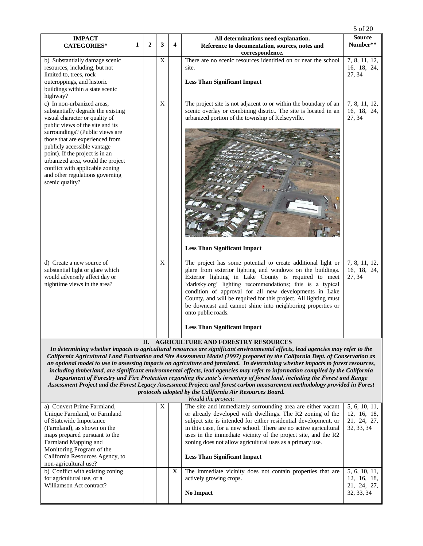|                                                                      |              |                |                           |   |                                                                                                                                                                                                                                                        | 5 of 20               |
|----------------------------------------------------------------------|--------------|----------------|---------------------------|---|--------------------------------------------------------------------------------------------------------------------------------------------------------------------------------------------------------------------------------------------------------|-----------------------|
| <b>IMPACT</b>                                                        |              |                |                           |   | All determinations need explanation.                                                                                                                                                                                                                   | <b>Source</b>         |
| <b>CATEGORIES*</b>                                                   | $\mathbf{1}$ | $\overline{2}$ | 3                         | 4 | Reference to documentation, sources, notes and                                                                                                                                                                                                         | Number**              |
|                                                                      |              |                |                           |   | correspondence.                                                                                                                                                                                                                                        |                       |
| b) Substantially damage scenic                                       |              |                | X                         |   | There are no scenic resources identified on or near the school                                                                                                                                                                                         | 7, 8, 11, 12,         |
| resources, including, but not                                        |              |                |                           |   | site.                                                                                                                                                                                                                                                  | 16, 18, 24,           |
| limited to, trees, rock                                              |              |                |                           |   |                                                                                                                                                                                                                                                        | 27, 34                |
| outcroppings, and historic                                           |              |                |                           |   | <b>Less Than Significant Impact</b>                                                                                                                                                                                                                    |                       |
| buildings within a state scenic                                      |              |                |                           |   |                                                                                                                                                                                                                                                        |                       |
| highway?                                                             |              |                |                           |   |                                                                                                                                                                                                                                                        |                       |
| c) In non-urbanized areas,                                           |              |                | $\mathbf X$               |   | The project site is not adjacent to or within the boundary of an                                                                                                                                                                                       | 7, 8, 11, 12,         |
| substantially degrade the existing<br>visual character or quality of |              |                |                           |   | scenic overlay or combining district. The site is located in an<br>urbanized portion of the township of Kelseyville.                                                                                                                                   | 16, 18, 24,<br>27, 34 |
| public views of the site and its                                     |              |                |                           |   |                                                                                                                                                                                                                                                        |                       |
| surroundings? (Public views are                                      |              |                |                           |   |                                                                                                                                                                                                                                                        |                       |
| those that are experienced from                                      |              |                |                           |   |                                                                                                                                                                                                                                                        |                       |
| publicly accessible vantage                                          |              |                |                           |   |                                                                                                                                                                                                                                                        |                       |
| point). If the project is in an                                      |              |                |                           |   |                                                                                                                                                                                                                                                        |                       |
| urbanized area, would the project                                    |              |                |                           |   |                                                                                                                                                                                                                                                        |                       |
| conflict with applicable zoning                                      |              |                |                           |   |                                                                                                                                                                                                                                                        |                       |
| and other regulations governing                                      |              |                |                           |   |                                                                                                                                                                                                                                                        |                       |
| scenic quality?                                                      |              |                |                           |   |                                                                                                                                                                                                                                                        |                       |
|                                                                      |              |                |                           |   | 5805 Live Oak D                                                                                                                                                                                                                                        |                       |
|                                                                      |              |                |                           |   |                                                                                                                                                                                                                                                        |                       |
|                                                                      |              |                |                           |   |                                                                                                                                                                                                                                                        |                       |
|                                                                      |              |                |                           |   |                                                                                                                                                                                                                                                        |                       |
|                                                                      |              |                |                           |   |                                                                                                                                                                                                                                                        |                       |
|                                                                      |              |                |                           |   |                                                                                                                                                                                                                                                        |                       |
|                                                                      |              |                |                           |   |                                                                                                                                                                                                                                                        |                       |
|                                                                      |              |                |                           |   |                                                                                                                                                                                                                                                        |                       |
|                                                                      |              |                |                           |   | <b>Less Than Significant Impact</b>                                                                                                                                                                                                                    |                       |
|                                                                      |              |                | X                         |   | The project has some potential to create additional light or                                                                                                                                                                                           | 7, 8, 11, 12,         |
| d) Create a new source of<br>substantial light or glare which        |              |                |                           |   | glare from exterior lighting and windows on the buildings.                                                                                                                                                                                             | 16, 18, 24,           |
| would adversely affect day or                                        |              |                |                           |   | Exterior lighting in Lake County is required to meet                                                                                                                                                                                                   | 27, 34                |
| nighttime views in the area?                                         |              |                |                           |   | 'darksky.org' lighting recommendations; this is a typical                                                                                                                                                                                              |                       |
|                                                                      |              |                |                           |   | condition of approval for all new developments in Lake                                                                                                                                                                                                 |                       |
|                                                                      |              |                |                           |   | County, and will be required for this project. All lighting must                                                                                                                                                                                       |                       |
|                                                                      |              |                |                           |   | be downcast and cannot shine into neighboring properties or                                                                                                                                                                                            |                       |
|                                                                      |              |                |                           |   | onto public roads.                                                                                                                                                                                                                                     |                       |
|                                                                      |              |                |                           |   |                                                                                                                                                                                                                                                        |                       |
|                                                                      |              |                |                           |   | <b>Less Than Significant Impact</b>                                                                                                                                                                                                                    |                       |
|                                                                      |              |                |                           |   |                                                                                                                                                                                                                                                        |                       |
|                                                                      |              |                |                           |   | II. AGRICULTURE AND FORESTRY RESOURCES                                                                                                                                                                                                                 |                       |
|                                                                      |              |                |                           |   | In determining whether impacts to agricultural resources are significant environmental effects, lead agencies may refer to the                                                                                                                         |                       |
|                                                                      |              |                |                           |   | California Agricultural Land Evaluation and Site Assessment Model (1997) prepared by the California Dept. of Conservation as                                                                                                                           |                       |
|                                                                      |              |                |                           |   | an optional model to use in assessing impacts on agriculture and farmland. In determining whether impacts to forest resources,                                                                                                                         |                       |
|                                                                      |              |                |                           |   | including timberland, are significant environmental effects, lead agencies may refer to information compiled by the California                                                                                                                         |                       |
|                                                                      |              |                |                           |   | Department of Forestry and Fire Protection regarding the state's inventory of forest land, including the Forest and Range<br>Assessment Project and the Forest Legacy Assessment Project; and forest carbon measurement methodology provided in Forest |                       |
|                                                                      |              |                |                           |   | protocols adopted by the California Air Resources Board.                                                                                                                                                                                               |                       |
|                                                                      |              |                |                           |   | Would the project:                                                                                                                                                                                                                                     |                       |
| a) Convert Prime Farmland,                                           |              |                | $\boldsymbol{\mathrm{X}}$ |   | The site and immediately surrounding area are either vacant                                                                                                                                                                                            | 5, 6, 10, 11,         |
| Unique Farmland, or Farmland                                         |              |                |                           |   | or already developed with dwellings. The R2 zoning of the                                                                                                                                                                                              | 12, 16, 18,           |
| of Statewide Importance                                              |              |                |                           |   | subject site is intended for either residential development, or                                                                                                                                                                                        | 21, 24, 27,           |
| (Farmland), as shown on the                                          |              |                |                           |   | in this case, for a new school. There are no active agricultural                                                                                                                                                                                       | 32, 33, 34            |
| maps prepared pursuant to the                                        |              |                |                           |   | uses in the immediate vicinity of the project site, and the R2                                                                                                                                                                                         |                       |
| Farmland Mapping and                                                 |              |                |                           |   | zoning does not allow agricultural uses as a primary use.                                                                                                                                                                                              |                       |
| Monitoring Program of the                                            |              |                |                           |   |                                                                                                                                                                                                                                                        |                       |
| California Resources Agency, to                                      |              |                |                           |   | <b>Less Than Significant Impact</b>                                                                                                                                                                                                                    |                       |
| non-agricultural use?                                                |              |                |                           |   |                                                                                                                                                                                                                                                        |                       |

 $X \mid$  The immediate vicinity does not contain properties that are

5, 6, 10, 11, 12, 16, 18, 21, 24, 27, 32, 33, 34

ı

actively growing crops.

**No Impact**

b) Conflict with existing zoning for agricultural use, or a Williamson Act contract?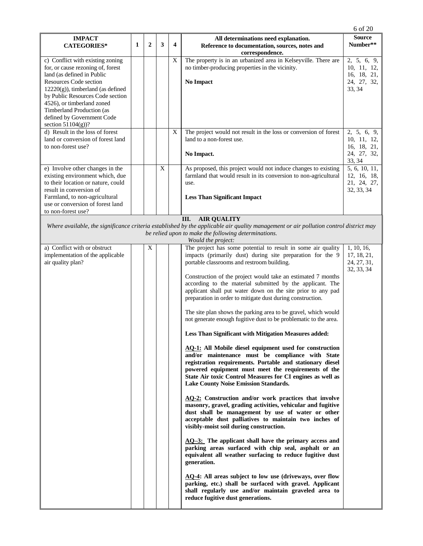|                                                                         |   |                |                           |   |                                                                                                                                                                                               | 6 of 20                 |
|-------------------------------------------------------------------------|---|----------------|---------------------------|---|-----------------------------------------------------------------------------------------------------------------------------------------------------------------------------------------------|-------------------------|
| <b>IMPACT</b>                                                           |   |                |                           |   | All determinations need explanation.                                                                                                                                                          | <b>Source</b>           |
| <b>CATEGORIES*</b>                                                      | 1 | $\overline{2}$ | 3                         | 4 | Reference to documentation, sources, notes and                                                                                                                                                | Number**                |
|                                                                         |   |                |                           |   | correspondence.                                                                                                                                                                               |                         |
| c) Conflict with existing zoning                                        |   |                |                           | X | The property is in an urbanized area in Kelseyville. There are                                                                                                                                | 2, 5, 6, 9,             |
| for, or cause rezoning of, forest                                       |   |                |                           |   | no timber-producing properties in the vicinity.                                                                                                                                               | 10, 11, 12,             |
| land (as defined in Public                                              |   |                |                           |   |                                                                                                                                                                                               | 16, 18, 21,             |
| Resources Code section                                                  |   |                |                           |   | <b>No Impact</b>                                                                                                                                                                              | 24, 27, 32,             |
| $12220(g)$ , timberland (as defined<br>by Public Resources Code section |   |                |                           |   |                                                                                                                                                                                               | 33, 34                  |
| 4526), or timberland zoned                                              |   |                |                           |   |                                                                                                                                                                                               |                         |
| Timberland Production (as                                               |   |                |                           |   |                                                                                                                                                                                               |                         |
| defined by Government Code                                              |   |                |                           |   |                                                                                                                                                                                               |                         |
| section 51104(g))?                                                      |   |                |                           |   |                                                                                                                                                                                               |                         |
| d) Result in the loss of forest                                         |   |                |                           | X | The project would not result in the loss or conversion of forest                                                                                                                              | 2, 5, 6, 9,             |
| land or conversion of forest land                                       |   |                |                           |   | land to a non-forest use.                                                                                                                                                                     | 10, 11, 12,             |
| to non-forest use?                                                      |   |                |                           |   |                                                                                                                                                                                               | 16, 18, 21,             |
|                                                                         |   |                |                           |   | No Impact.                                                                                                                                                                                    | 24, 27, 32,             |
| e) Involve other changes in the                                         |   |                | $\boldsymbol{\mathrm{X}}$ |   | As proposed, this project would not induce changes to existing                                                                                                                                | 33, 34<br>5, 6, 10, 11, |
| existing environment which, due                                         |   |                |                           |   | farmland that would result in its conversion to non-agricultural                                                                                                                              | 12, 16, 18,             |
| to their location or nature, could                                      |   |                |                           |   | use.                                                                                                                                                                                          | 21, 24, 27,             |
| result in conversion of                                                 |   |                |                           |   |                                                                                                                                                                                               | 32, 33, 34              |
| Farmland, to non-agricultural                                           |   |                |                           |   | <b>Less Than Significant Impact</b>                                                                                                                                                           |                         |
| use or conversion of forest land                                        |   |                |                           |   |                                                                                                                                                                                               |                         |
| to non-forest use?                                                      |   |                |                           |   |                                                                                                                                                                                               |                         |
|                                                                         |   |                |                           |   | III.<br><b>AIR QUALITY</b>                                                                                                                                                                    |                         |
|                                                                         |   |                |                           |   | Where available, the significance criteria established by the applicable air quality management or air pollution control district may<br>be relied upon to make the following determinations. |                         |
|                                                                         |   |                |                           |   | Would the project:                                                                                                                                                                            |                         |
| a) Conflict with or obstruct                                            |   | X              |                           |   | The project has some potential to result in some air quality                                                                                                                                  | 1, 10, 16,              |
| implementation of the applicable                                        |   |                |                           |   | impacts (primarily dust) during site preparation for the 9                                                                                                                                    | 17, 18, 21,             |
| air quality plan?                                                       |   |                |                           |   | portable classrooms and restroom building.                                                                                                                                                    | 24, 27, 31,             |
|                                                                         |   |                |                           |   |                                                                                                                                                                                               | 32, 33, 34              |
|                                                                         |   |                |                           |   | Construction of the project would take an estimated 7 months                                                                                                                                  |                         |
|                                                                         |   |                |                           |   | according to the material submitted by the applicant. The                                                                                                                                     |                         |
|                                                                         |   |                |                           |   | applicant shall put water down on the site prior to any pad<br>preparation in order to mitigate dust during construction.                                                                     |                         |
|                                                                         |   |                |                           |   |                                                                                                                                                                                               |                         |
|                                                                         |   |                |                           |   | The site plan shows the parking area to be gravel, which would                                                                                                                                |                         |
|                                                                         |   |                |                           |   | not generate enough fugitive dust to be problematic to the area.                                                                                                                              |                         |
|                                                                         |   |                |                           |   | Less Than Significant with Mitigation Measures added:                                                                                                                                         |                         |
|                                                                         |   |                |                           |   |                                                                                                                                                                                               |                         |
|                                                                         |   |                |                           |   | <b>AQ-1:</b> All Mobile diesel equipment used for construction<br>and/or maintenance must be compliance with State                                                                            |                         |
|                                                                         |   |                |                           |   | registration requirements. Portable and stationary diesel                                                                                                                                     |                         |
|                                                                         |   |                |                           |   | powered equipment must meet the requirements of the                                                                                                                                           |                         |
|                                                                         |   |                |                           |   | State Air toxic Control Measures for CI engines as well as                                                                                                                                    |                         |
|                                                                         |   |                |                           |   | Lake County Noise Emission Standards.                                                                                                                                                         |                         |
|                                                                         |   |                |                           |   | AQ-2: Construction and/or work practices that involve                                                                                                                                         |                         |
|                                                                         |   |                |                           |   | masonry, gravel, grading activities, vehicular and fugitive                                                                                                                                   |                         |
|                                                                         |   |                |                           |   | dust shall be management by use of water or other<br>acceptable dust palliatives to maintain two inches of                                                                                    |                         |
|                                                                         |   |                |                           |   | visibly-moist soil during construction.                                                                                                                                                       |                         |
|                                                                         |   |                |                           |   |                                                                                                                                                                                               |                         |
|                                                                         |   |                |                           |   | $\overline{AO-3}$ : The applicant shall have the primary access and                                                                                                                           |                         |
|                                                                         |   |                |                           |   | parking areas surfaced with chip seal, asphalt or an                                                                                                                                          |                         |
|                                                                         |   |                |                           |   | equivalent all weather surfacing to reduce fugitive dust                                                                                                                                      |                         |
|                                                                         |   |                |                           |   | generation.                                                                                                                                                                                   |                         |
|                                                                         |   |                |                           |   | AQ-4: All areas subject to low use (driveways, over flow                                                                                                                                      |                         |
|                                                                         |   |                |                           |   | parking, etc.) shall be surfaced with gravel. Applicant                                                                                                                                       |                         |
|                                                                         |   |                |                           |   | shall regularly use and/or maintain graveled area to                                                                                                                                          |                         |
|                                                                         |   |                |                           |   | reduce fugitive dust generations.                                                                                                                                                             |                         |
|                                                                         |   |                |                           |   |                                                                                                                                                                                               |                         |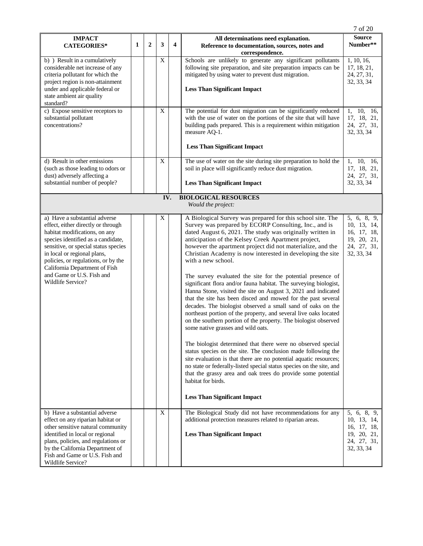|                                                                                                                                                                                                                                                                                                                                             |   |                |             |                         |                                                                                                                                                                                                                                                                                                                                                                                                                                                                                                                                                                                                                                                                                                                                                                                                                                                                                                                                                                                                                                                                                                                                                                                                                                                                                                                      | 7 of 20                                                                               |
|---------------------------------------------------------------------------------------------------------------------------------------------------------------------------------------------------------------------------------------------------------------------------------------------------------------------------------------------|---|----------------|-------------|-------------------------|----------------------------------------------------------------------------------------------------------------------------------------------------------------------------------------------------------------------------------------------------------------------------------------------------------------------------------------------------------------------------------------------------------------------------------------------------------------------------------------------------------------------------------------------------------------------------------------------------------------------------------------------------------------------------------------------------------------------------------------------------------------------------------------------------------------------------------------------------------------------------------------------------------------------------------------------------------------------------------------------------------------------------------------------------------------------------------------------------------------------------------------------------------------------------------------------------------------------------------------------------------------------------------------------------------------------|---------------------------------------------------------------------------------------|
| <b>IMPACT</b><br><b>CATEGORIES*</b>                                                                                                                                                                                                                                                                                                         | 1 | $\overline{2}$ | 3           | $\overline{\mathbf{4}}$ | All determinations need explanation.<br>Reference to documentation, sources, notes and<br>correspondence.                                                                                                                                                                                                                                                                                                                                                                                                                                                                                                                                                                                                                                                                                                                                                                                                                                                                                                                                                                                                                                                                                                                                                                                                            | <b>Source</b><br>Number**                                                             |
| b) ) Result in a cumulatively<br>considerable net increase of any<br>criteria pollutant for which the<br>project region is non-attainment<br>under and applicable federal or<br>state ambient air quality<br>standard?                                                                                                                      |   |                | $\mathbf X$ |                         | Schools are unlikely to generate any significant pollutants<br>following site preparation, and site preparation impacts can be<br>mitigated by using water to prevent dust migration.<br><b>Less Than Significant Impact</b>                                                                                                                                                                                                                                                                                                                                                                                                                                                                                                                                                                                                                                                                                                                                                                                                                                                                                                                                                                                                                                                                                         | 1, 10, 16,<br>17, 18, 21,<br>24, 27, 31,<br>32, 33, 34                                |
| c) Expose sensitive receptors to<br>substantial pollutant<br>concentrations?                                                                                                                                                                                                                                                                |   |                | X           |                         | The potential for dust migration can be significantly reduced<br>with the use of water on the portions of the site that will have<br>building pads prepared. This is a requirement within mitigation<br>measure AQ-1.<br><b>Less Than Significant Impact</b>                                                                                                                                                                                                                                                                                                                                                                                                                                                                                                                                                                                                                                                                                                                                                                                                                                                                                                                                                                                                                                                         | 10,<br>16,<br>1,<br>17, 18, 21,<br>24, 27, 31,<br>32, 33, 34                          |
| d) Result in other emissions<br>(such as those leading to odors or<br>dust) adversely affecting a<br>substantial number of people?                                                                                                                                                                                                          |   |                | $\mathbf X$ |                         | The use of water on the site during site preparation to hold the<br>soil in place will significantly reduce dust migration.<br><b>Less Than Significant Impact</b>                                                                                                                                                                                                                                                                                                                                                                                                                                                                                                                                                                                                                                                                                                                                                                                                                                                                                                                                                                                                                                                                                                                                                   | 1,<br>10,<br>16,<br>17, 18, 21,<br>24, 27, 31,<br>32, 33, 34                          |
|                                                                                                                                                                                                                                                                                                                                             |   |                | IV.         |                         | <b>BIOLOGICAL RESOURCES</b><br>Would the project:                                                                                                                                                                                                                                                                                                                                                                                                                                                                                                                                                                                                                                                                                                                                                                                                                                                                                                                                                                                                                                                                                                                                                                                                                                                                    |                                                                                       |
| a) Have a substantial adverse<br>effect, either directly or through<br>habitat modifications, on any<br>species identified as a candidate,<br>sensitive, or special status species<br>in local or regional plans,<br>policies, or regulations, or by the<br>California Department of Fish<br>and Game or U.S. Fish and<br>Wildlife Service? |   |                | X           |                         | A Biological Survey was prepared for this school site. The<br>Survey was prepared by ECORP Consulting, Inc., and is<br>dated August 6, 2021. The study was originally written in<br>anticipation of the Kelsey Creek Apartment project,<br>however the apartment project did not materialize, and the<br>Christian Academy is now interested in developing the site<br>with a new school.<br>The survey evaluated the site for the potential presence of<br>significant flora and/or fauna habitat. The surveying biologist,<br>Hanna Stone, visited the site on August 3, 2021 and indicated<br>that the site has been disced and mowed for the past several<br>decades. The biologist observed a small sand of oaks on the<br>northeast portion of the property, and several live oaks located<br>on the southern portion of the property. The biologist observed<br>some native grasses and wild oats.<br>The biologist determined that there were no observed special<br>status species on the site. The conclusion made following the<br>site evaluation is that there are no potential aquatic resources;<br>no state or federally-listed special status species on the site, and<br>that the grassy area and oak trees do provide some potential<br>habitat for birds.<br><b>Less Than Significant Impact</b> | 5, 6, 8, 9,<br>10, 13, 14,<br>16, 17, 18,<br>19, 20, 21,<br>24, 27, 31,<br>32, 33, 34 |
| b) Have a substantial adverse<br>effect on any riparian habitat or<br>other sensitive natural community<br>identified in local or regional<br>plans, policies, and regulations or<br>by the California Department of<br>Fish and Game or U.S. Fish and<br>Wildlife Service?                                                                 |   |                | $\mathbf X$ |                         | The Biological Study did not have recommendations for any<br>additional protection measures related to riparian areas.<br><b>Less Than Significant Impact</b>                                                                                                                                                                                                                                                                                                                                                                                                                                                                                                                                                                                                                                                                                                                                                                                                                                                                                                                                                                                                                                                                                                                                                        | 5, 6, 8, 9,<br>10, 13, 14,<br>16, 17, 18,<br>19, 20, 21,<br>24, 27, 31,<br>32, 33, 34 |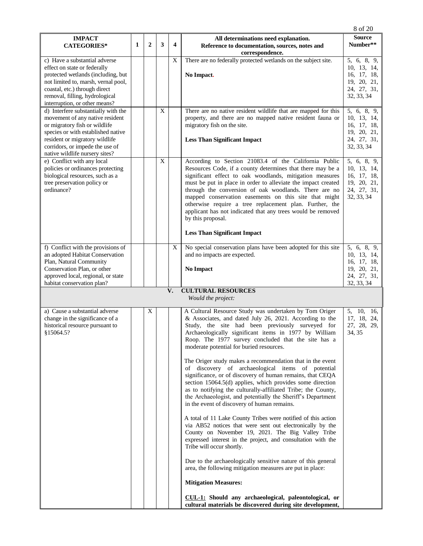|                                                                                                                                                                                                                                                      |   |                |   |    |                                                                                                                                                                                                                                                                                                                                                                                                                                                                                                                                                                                                                                                                                                                                                                                                                                                                                                                                                                                                                                                                                                                                                                                                                                                                                                                               | 8 of 20                                                                               |
|------------------------------------------------------------------------------------------------------------------------------------------------------------------------------------------------------------------------------------------------------|---|----------------|---|----|-------------------------------------------------------------------------------------------------------------------------------------------------------------------------------------------------------------------------------------------------------------------------------------------------------------------------------------------------------------------------------------------------------------------------------------------------------------------------------------------------------------------------------------------------------------------------------------------------------------------------------------------------------------------------------------------------------------------------------------------------------------------------------------------------------------------------------------------------------------------------------------------------------------------------------------------------------------------------------------------------------------------------------------------------------------------------------------------------------------------------------------------------------------------------------------------------------------------------------------------------------------------------------------------------------------------------------|---------------------------------------------------------------------------------------|
| <b>IMPACT</b><br><b>CATEGORIES*</b>                                                                                                                                                                                                                  | 1 | $\overline{2}$ | 3 | 4  | All determinations need explanation.<br>Reference to documentation, sources, notes and<br>correspondence.                                                                                                                                                                                                                                                                                                                                                                                                                                                                                                                                                                                                                                                                                                                                                                                                                                                                                                                                                                                                                                                                                                                                                                                                                     | <b>Source</b><br>Number**                                                             |
| c) Have a substantial adverse<br>effect on state or federally<br>protected wetlands (including, but<br>not limited to, marsh, vernal pool,<br>coastal, etc.) through direct<br>removal, filling, hydrological<br>interruption, or other means?       |   |                |   | X  | There are no federally protected wetlands on the subject site.<br>No Impact.                                                                                                                                                                                                                                                                                                                                                                                                                                                                                                                                                                                                                                                                                                                                                                                                                                                                                                                                                                                                                                                                                                                                                                                                                                                  | 5, 6, 8, 9,<br>10, 13, 14,<br>16, 17, 18,<br>19, 20, 21,<br>24, 27, 31,<br>32, 33, 34 |
| d) Interfere substantially with the<br>movement of any native resident<br>or migratory fish or wildlife<br>species or with established native<br>resident or migratory wildlife<br>corridors, or impede the use of<br>native wildlife nursery sites? |   |                | X |    | There are no native resident wildlife that are mapped for this<br>property, and there are no mapped native resident fauna or<br>migratory fish on the site.<br><b>Less Than Significant Impact</b>                                                                                                                                                                                                                                                                                                                                                                                                                                                                                                                                                                                                                                                                                                                                                                                                                                                                                                                                                                                                                                                                                                                            | 5, 6, 8, 9,<br>10, 13, 14,<br>16, 17, 18,<br>19, 20, 21,<br>24, 27, 31,<br>32, 33, 34 |
| e) Conflict with any local<br>policies or ordinances protecting<br>biological resources, such as a<br>tree preservation policy or<br>ordinance?                                                                                                      |   |                | X |    | According to Section 21083.4 of the California Public<br>Resources Code, if a county determines that there may be a<br>significant effect to oak woodlands, mitigation measures<br>must be put in place in order to alleviate the impact created<br>through the conversion of oak woodlands. There are no<br>mapped conservation easements on this site that might<br>otherwise require a tree replacement plan. Further, the<br>applicant has not indicated that any trees would be removed<br>by this proposal.<br><b>Less Than Significant Impact</b>                                                                                                                                                                                                                                                                                                                                                                                                                                                                                                                                                                                                                                                                                                                                                                      | 5, 6, 8, 9,<br>10, 13, 14,<br>16, 17, 18,<br>19, 20, 21,<br>24, 27, 31,<br>32, 33, 34 |
| f) Conflict with the provisions of<br>an adopted Habitat Conservation<br>Plan, Natural Community<br>Conservation Plan, or other<br>approved local, regional, or state<br>habitat conservation plan?                                                  |   |                |   | X  | No special conservation plans have been adopted for this site<br>and no impacts are expected.<br>No Impact                                                                                                                                                                                                                                                                                                                                                                                                                                                                                                                                                                                                                                                                                                                                                                                                                                                                                                                                                                                                                                                                                                                                                                                                                    | 5, 6, 8, 9,<br>10, 13, 14,<br>16, 17, 18,<br>19, 20, 21,<br>24, 27, 31,<br>32, 33, 34 |
|                                                                                                                                                                                                                                                      |   |                |   | V. | <b>CULTURAL RESOURCES</b><br>Would the project:                                                                                                                                                                                                                                                                                                                                                                                                                                                                                                                                                                                                                                                                                                                                                                                                                                                                                                                                                                                                                                                                                                                                                                                                                                                                               |                                                                                       |
| a) Cause a substantial adverse<br>change in the significance of a<br>historical resource pursuant to<br>\$15064.5?                                                                                                                                   |   | X              |   |    | A Cultural Resource Study was undertaken by Tom Origer<br>& Associates, and dated July 26, 2021. According to the<br>Study, the site had been previously surveyed for<br>Archaeologically significant items in 1977 by William<br>Roop. The 1977 survey concluded that the site has a<br>moderate potential for buried resources.<br>The Origer study makes a recommendation that in the event<br>of discovery of archaeological items of potential<br>significance, or of discovery of human remains, that CEQA<br>section 15064.5(d) applies, which provides some direction<br>as to notifying the culturally-affiliated Tribe; the County,<br>the Archaeologist, and potentially the Sheriff's Department<br>in the event of discovery of human remains.<br>A total of 11 Lake County Tribes were notified of this action<br>via AB52 notices that were sent out electronically by the<br>County on November 19, 2021. The Big Valley Tribe<br>expressed interest in the project, and consultation with the<br>Tribe will occur shortly.<br>Due to the archaeologically sensitive nature of this general<br>area, the following mitigation measures are put in place:<br><b>Mitigation Measures:</b><br>CUL-1: Should any archaeological, paleontological, or<br>cultural materials be discovered during site development, | 5, 10, 16,<br>17, 18, 24,<br>27, 28, 29,<br>34, 35                                    |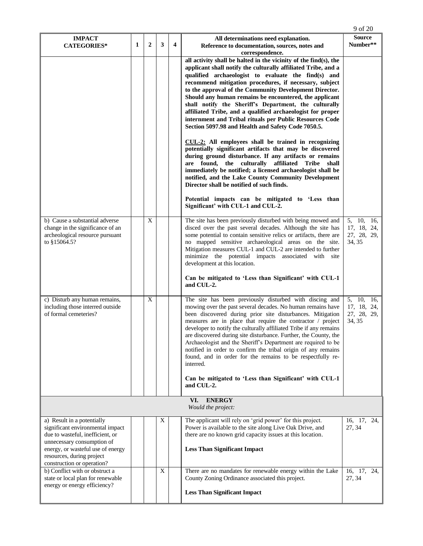|                                                                                                                                  |   |                |             |                         |                                                                                                                                                                                                                                                                                                                                                                                                                                                                                                                                                                                                                | 9 of 20                                                  |  |  |  |
|----------------------------------------------------------------------------------------------------------------------------------|---|----------------|-------------|-------------------------|----------------------------------------------------------------------------------------------------------------------------------------------------------------------------------------------------------------------------------------------------------------------------------------------------------------------------------------------------------------------------------------------------------------------------------------------------------------------------------------------------------------------------------------------------------------------------------------------------------------|----------------------------------------------------------|--|--|--|
| <b>IMPACT</b><br><b>CATEGORIES*</b>                                                                                              | 1 | $\overline{2}$ | 3           | $\overline{\mathbf{4}}$ | All determinations need explanation.<br>Reference to documentation, sources, notes and<br>correspondence.                                                                                                                                                                                                                                                                                                                                                                                                                                                                                                      | <b>Source</b><br>Number**                                |  |  |  |
|                                                                                                                                  |   |                |             |                         | all activity shall be halted in the vicinity of the find(s), the<br>applicant shall notify the culturally affiliated Tribe, and a<br>qualified archaeologist to evaluate the find(s) and<br>recommend mitigation procedures, if necessary, subject<br>to the approval of the Community Development Director.<br>Should any human remains be encountered, the applicant<br>shall notify the Sheriff's Department, the culturally<br>affiliated Tribe, and a qualified archaeologist for proper<br>internment and Tribal rituals per Public Resources Code<br>Section 5097.98 and Health and Safety Code 7050.5. |                                                          |  |  |  |
|                                                                                                                                  |   |                |             |                         | CUL-2: All employees shall be trained in recognizing<br>potentially significant artifacts that may be discovered<br>during ground disturbance. If any artifacts or remains<br>are found, the culturally affiliated<br>Tribe<br>shall<br>immediately be notified; a licensed archaeologist shall be<br>notified, and the Lake County Community Development<br>Director shall be notified of such finds.                                                                                                                                                                                                         |                                                          |  |  |  |
|                                                                                                                                  |   |                |             |                         | Potential impacts can be mitigated to 'Less than<br>Significant' with CUL-1 and CUL-2.                                                                                                                                                                                                                                                                                                                                                                                                                                                                                                                         |                                                          |  |  |  |
| b) Cause a substantial adverse<br>change in the significance of an<br>archeological resource pursuant<br>to §15064.5?            |   | X              |             |                         | The site has been previously disturbed with being mowed and<br>disced over the past several decades. Although the site has<br>some potential to contain sensitive relics or artifacts, there are<br>no mapped sensitive archaeological areas on the site.<br>Mitigation measures CUL-1 and CUL-2 are intended to further<br>minimize the potential impacts associated with<br>site<br>development at this location.                                                                                                                                                                                            | 5, 10,<br>16,<br>17, 18, 24,<br>27, 28, 29,<br>34, 35    |  |  |  |
|                                                                                                                                  |   |                |             |                         | Can be mitigated to 'Less than Significant' with CUL-1<br>and CUL-2.                                                                                                                                                                                                                                                                                                                                                                                                                                                                                                                                           |                                                          |  |  |  |
| c) Disturb any human remains,<br>including those interred outside<br>of formal cemeteries?                                       |   | X              |             |                         | The site has been previously disturbed with discing and<br>mowing over the past several decades. No human remains have<br>been discovered during prior site disturbances. Mitigation<br>measures are in place that require the contractor / project<br>developer to notify the culturally affiliated Tribe if any remains<br>are discovered during site disturbance. Further, the County, the<br>Archaeologist and the Sheriff's Department are required to be<br>notified in order to confirm the tribal origin of any remains<br>found, and in order for the remains to be respectfully re-<br>interred.     | 10,<br>5,<br>16,<br>17, 18, 24,<br>27, 28, 29,<br>34, 35 |  |  |  |
|                                                                                                                                  |   |                |             |                         | Can be mitigated to 'Less than Significant' with CUL-1<br>and CUL-2.                                                                                                                                                                                                                                                                                                                                                                                                                                                                                                                                           |                                                          |  |  |  |
| <b>ENERGY</b><br>VI.<br>Would the project:                                                                                       |   |                |             |                         |                                                                                                                                                                                                                                                                                                                                                                                                                                                                                                                                                                                                                |                                                          |  |  |  |
| a) Result in a potentially<br>significant environmental impact<br>due to wasteful, inefficient, or<br>unnecessary consumption of |   |                | X           |                         | The applicant will rely on 'grid power' for this project.<br>Power is available to the site along Live Oak Drive, and<br>there are no known grid capacity issues at this location.                                                                                                                                                                                                                                                                                                                                                                                                                             | 16, 17, 24,<br>27, 34                                    |  |  |  |
| energy, or wasteful use of energy<br>resources, during project<br>construction or operation?                                     |   |                |             |                         | <b>Less Than Significant Impact</b>                                                                                                                                                                                                                                                                                                                                                                                                                                                                                                                                                                            |                                                          |  |  |  |
| b) Conflict with or obstruct a<br>state or local plan for renewable<br>energy or energy efficiency?                              |   |                | $\mathbf X$ |                         | There are no mandates for renewable energy within the Lake<br>County Zoning Ordinance associated this project.                                                                                                                                                                                                                                                                                                                                                                                                                                                                                                 | 16, 17, 24,<br>27, 34                                    |  |  |  |
|                                                                                                                                  |   |                |             |                         | <b>Less Than Significant Impact</b>                                                                                                                                                                                                                                                                                                                                                                                                                                                                                                                                                                            |                                                          |  |  |  |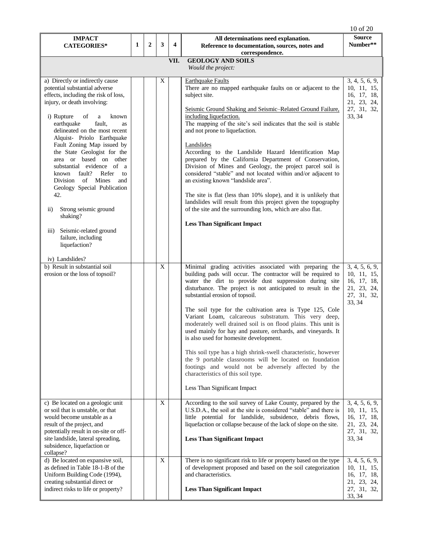| All determinations need explanation.<br><b>IMPACT</b><br>$\overline{2}$<br>3<br>1<br>$\overline{\mathbf{4}}$<br><b>CATEGORIES*</b><br>Reference to documentation, sources, notes and<br>correspondence.<br><b>GEOLOGY AND SOILS</b><br>VII.<br>Would the project:<br>a) Directly or indirectly cause<br><b>Earthquake Faults</b><br>X<br>potential substantial adverse<br>There are no mapped earthquake faults on or adjacent to the<br>effects, including the risk of loss,<br>subject site.<br>injury, or death involving:<br>Seismic Ground Shaking and Seismic–Related Ground Failure,<br>including liquefaction.<br>33, 34<br>i) Rupture<br>of<br>known<br>$\rm{a}$<br>The mapping of the site's soil indicates that the soil is stable<br>earthquake<br>fault.<br>as<br>delineated on the most recent<br>and not prone to liquefaction.<br>Alquist- Priolo Earthquake<br>Fault Zoning Map issued by<br>Landslides<br>According to the Landslide Hazard Identification Map<br>the State Geologist for the<br>area or based on other<br>prepared by the California Department of Conservation,<br>Division of Mines and Geology, the project parcel soil is<br>substantial evidence of a<br>considered "stable" and not located within and/or adjacent to<br>fault?<br>known<br>Refer<br>to<br>of Mines<br>an existing known "landslide area".<br>Division<br>and<br>Geology Special Publication<br>42.<br>The site is flat (less than 10% slope), and it is unlikely that<br>landslides will result from this project given the topography<br>of the site and the surrounding lots, which are also flat.<br>$\ddot{\mathbf{i}}$<br>Strong seismic ground<br>shaking?<br><b>Less Than Significant Impact</b><br>Seismic-related ground<br>$\overline{111}$ )<br>failure, including<br>liquefaction?<br>iv) Landslides?<br>b) Result in substantial soil<br>$\mathbf X$<br>Minimal grading activities associated with preparing the<br>building pads will occur. The contractor will be required to<br>erosion or the loss of topsoil?<br>water the dirt to provide dust suppression during site<br>disturbance. The project is not anticipated to result in the<br>substantial erosion of topsoil.<br>33, 34<br>The soil type for the cultivation area is Type 125, Cole<br>Variant Loam, calcareous substratum. This very deep,<br>moderately well drained soil is on flood plains. This unit is<br>used mainly for hay and pasture, orchards, and vineyards. It<br>is also used for homesite development.<br>This soil type has a high shrink-swell characteristic, however<br>the 9 portable classrooms will be located on foundation<br>footings and would not be adversely affected by the<br>characteristics of this soil type.<br>Less Than Significant Impact<br>c) Be located on a geologic unit<br>X<br>According to the soil survey of Lake County, prepared by the<br>or soil that is unstable, or that<br>U.S.D.A., the soil at the site is considered "stable" and there is<br>little potential for landslide, subsidence, debris flows,<br>would become unstable as a<br>liquefaction or collapse because of the lack of slope on the site.<br>result of the project, and<br>potentially result in on-site or off-<br>site landslide, lateral spreading,<br><b>Less Than Significant Impact</b><br>33, 34<br>subsidence, liquefaction or<br>collapse? |                                  |  |             |                                                                    | 10 of 20                                                                                                                                                 |
|---------------------------------------------------------------------------------------------------------------------------------------------------------------------------------------------------------------------------------------------------------------------------------------------------------------------------------------------------------------------------------------------------------------------------------------------------------------------------------------------------------------------------------------------------------------------------------------------------------------------------------------------------------------------------------------------------------------------------------------------------------------------------------------------------------------------------------------------------------------------------------------------------------------------------------------------------------------------------------------------------------------------------------------------------------------------------------------------------------------------------------------------------------------------------------------------------------------------------------------------------------------------------------------------------------------------------------------------------------------------------------------------------------------------------------------------------------------------------------------------------------------------------------------------------------------------------------------------------------------------------------------------------------------------------------------------------------------------------------------------------------------------------------------------------------------------------------------------------------------------------------------------------------------------------------------------------------------------------------------------------------------------------------------------------------------------------------------------------------------------------------------------------------------------------------------------------------------------------------------------------------------------------------------------------------------------------------------------------------------------------------------------------------------------------------------------------------------------------------------------------------------------------------------------------------------------------------------------------------------------------------------------------------------------------------------------------------------------------------------------------------------------------------------------------------------------------------------------------------------------------------------------------------------------------------------------------------------------------------------------------------------------------------------------------------------------------------------------------------------------------------------------------------------------------------------------------------------------------------------------------------------------------------------------------------------------------------------------------------------------------|----------------------------------|--|-------------|--------------------------------------------------------------------|----------------------------------------------------------------------------------------------------------------------------------------------------------|
|                                                                                                                                                                                                                                                                                                                                                                                                                                                                                                                                                                                                                                                                                                                                                                                                                                                                                                                                                                                                                                                                                                                                                                                                                                                                                                                                                                                                                                                                                                                                                                                                                                                                                                                                                                                                                                                                                                                                                                                                                                                                                                                                                                                                                                                                                                                                                                                                                                                                                                                                                                                                                                                                                                                                                                                                                                                                                                                                                                                                                                                                                                                                                                                                                                                                                                                                                                           |                                  |  |             |                                                                    | <b>Source</b><br>Number**                                                                                                                                |
|                                                                                                                                                                                                                                                                                                                                                                                                                                                                                                                                                                                                                                                                                                                                                                                                                                                                                                                                                                                                                                                                                                                                                                                                                                                                                                                                                                                                                                                                                                                                                                                                                                                                                                                                                                                                                                                                                                                                                                                                                                                                                                                                                                                                                                                                                                                                                                                                                                                                                                                                                                                                                                                                                                                                                                                                                                                                                                                                                                                                                                                                                                                                                                                                                                                                                                                                                                           |                                  |  |             |                                                                    |                                                                                                                                                          |
|                                                                                                                                                                                                                                                                                                                                                                                                                                                                                                                                                                                                                                                                                                                                                                                                                                                                                                                                                                                                                                                                                                                                                                                                                                                                                                                                                                                                                                                                                                                                                                                                                                                                                                                                                                                                                                                                                                                                                                                                                                                                                                                                                                                                                                                                                                                                                                                                                                                                                                                                                                                                                                                                                                                                                                                                                                                                                                                                                                                                                                                                                                                                                                                                                                                                                                                                                                           |                                  |  |             |                                                                    | 3, 4, 5, 6, 9,<br>10, 11, 15,<br>16, 17, 18,<br>21, 23, 24,<br>27, 31, 32,<br>3, 4, 5, 6, 9,<br>10, 11, 15,<br>16, 17, 18,<br>21, 23, 24,<br>27, 31, 32, |
|                                                                                                                                                                                                                                                                                                                                                                                                                                                                                                                                                                                                                                                                                                                                                                                                                                                                                                                                                                                                                                                                                                                                                                                                                                                                                                                                                                                                                                                                                                                                                                                                                                                                                                                                                                                                                                                                                                                                                                                                                                                                                                                                                                                                                                                                                                                                                                                                                                                                                                                                                                                                                                                                                                                                                                                                                                                                                                                                                                                                                                                                                                                                                                                                                                                                                                                                                                           |                                  |  |             |                                                                    | 3, 4, 5, 6, 9,<br>10, 11, 15,<br>16, 17, 18,<br>21, 23, 24,<br>27, 31, 32,                                                                               |
| as defined in Table 18-1-B of the<br>of development proposed and based on the soil categorization<br>Uniform Building Code (1994),<br>and characteristics.<br>creating substantial direct or<br>indirect risks to life or property?<br><b>Less Than Significant Impact</b><br>33, 34                                                                                                                                                                                                                                                                                                                                                                                                                                                                                                                                                                                                                                                                                                                                                                                                                                                                                                                                                                                                                                                                                                                                                                                                                                                                                                                                                                                                                                                                                                                                                                                                                                                                                                                                                                                                                                                                                                                                                                                                                                                                                                                                                                                                                                                                                                                                                                                                                                                                                                                                                                                                                                                                                                                                                                                                                                                                                                                                                                                                                                                                                      | d) Be located on expansive soil, |  | $\mathbf X$ | There is no significant risk to life or property based on the type | 3, 4, 5, 6, 9,<br>10, 11, 15,<br>16, 17, 18,<br>21, 23, 24,<br>27, 31, 32,                                                                               |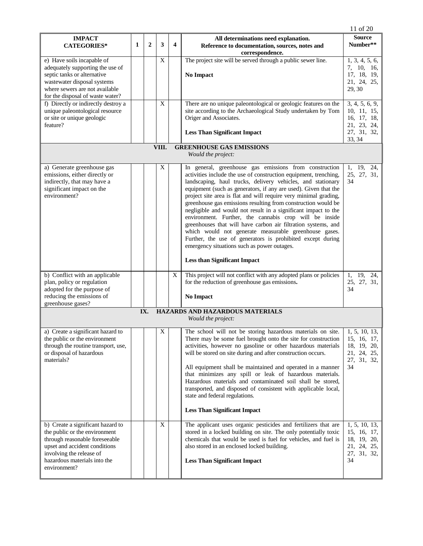|                                                                |              |                |                           |                         |                                                                                                                                 | 11 of 20                     |
|----------------------------------------------------------------|--------------|----------------|---------------------------|-------------------------|---------------------------------------------------------------------------------------------------------------------------------|------------------------------|
| <b>IMPACT</b>                                                  |              |                |                           |                         | All determinations need explanation.                                                                                            | <b>Source</b>                |
| <b>CATEGORIES*</b>                                             | $\mathbf{1}$ | $\overline{2}$ | 3                         | $\overline{\mathbf{4}}$ | Reference to documentation, sources, notes and                                                                                  | Number**                     |
|                                                                |              |                |                           |                         | correspondence.                                                                                                                 |                              |
| e) Have soils incapable of<br>adequately supporting the use of |              |                | $\boldsymbol{\mathrm{X}}$ |                         | The project site will be served through a public sewer line.                                                                    | 1, 3, 4, 5, 6,<br>7, 10, 16, |
| septic tanks or alternative                                    |              |                |                           |                         | <b>No Impact</b>                                                                                                                | 17, 18, 19,                  |
| wastewater disposal systems                                    |              |                |                           |                         |                                                                                                                                 | 21, 24, 25,                  |
| where sewers are not available                                 |              |                |                           |                         |                                                                                                                                 | 29, 30                       |
| for the disposal of waste water?                               |              |                |                           |                         |                                                                                                                                 |                              |
| f) Directly or indirectly destroy a                            |              |                | X                         |                         | There are no unique paleontological or geologic features on the                                                                 | 3, 4, 5, 6, 9,               |
| unique paleontological resource                                |              |                |                           |                         | site according to the Archaeological Study undertaken by Tom                                                                    | 10, 11, 15,                  |
| or site or unique geologic                                     |              |                |                           |                         | Origer and Associates.                                                                                                          | 16, 17, 18,                  |
| feature?                                                       |              |                |                           |                         | <b>Less Than Significant Impact</b>                                                                                             | 21, 23, 24,<br>27, 31, 32,   |
|                                                                |              |                |                           |                         |                                                                                                                                 | 33, 34                       |
|                                                                |              |                | VIII.                     |                         | <b>GREENHOUSE GAS EMISSIONS</b>                                                                                                 |                              |
|                                                                |              |                |                           |                         | Would the project:                                                                                                              |                              |
| a) Generate greenhouse gas                                     |              |                | X                         |                         | In general, greenhouse gas emissions from construction                                                                          | 19,<br>24.<br>1,             |
| emissions, either directly or                                  |              |                |                           |                         | activities include the use of construction equipment, trenching,                                                                | 25, 27, 31,                  |
| indirectly, that may have a                                    |              |                |                           |                         | landscaping, haul trucks, delivery vehicles, and stationary                                                                     | 34                           |
| significant impact on the                                      |              |                |                           |                         | equipment (such as generators, if any are used). Given that the                                                                 |                              |
| environment?                                                   |              |                |                           |                         | project site area is flat and will require very minimal grading,                                                                |                              |
|                                                                |              |                |                           |                         | greenhouse gas emissions resulting from construction would be<br>negligible and would not result in a significant impact to the |                              |
|                                                                |              |                |                           |                         | environment. Further, the cannabis crop will be inside                                                                          |                              |
|                                                                |              |                |                           |                         | greenhouses that will have carbon air filtration systems, and                                                                   |                              |
|                                                                |              |                |                           |                         | which would not generate measurable greenhouse gases.                                                                           |                              |
|                                                                |              |                |                           |                         | Further, the use of generators is prohibited except during                                                                      |                              |
|                                                                |              |                |                           |                         | emergency situations such as power outages.                                                                                     |                              |
|                                                                |              |                |                           |                         | <b>Less than Significant Impact</b>                                                                                             |                              |
| b) Conflict with an applicable                                 |              |                |                           | X                       | This project will not conflict with any adopted plans or policies                                                               | 19,<br>24,<br>1,             |
| plan, policy or regulation                                     |              |                |                           |                         | for the reduction of greenhouse gas emissions.                                                                                  | 25, 27, 31,                  |
| adopted for the purpose of                                     |              |                |                           |                         |                                                                                                                                 | 34                           |
| reducing the emissions of                                      |              |                |                           |                         | No Impact                                                                                                                       |                              |
| greenhouse gases?                                              |              | IX.            |                           |                         | HAZARDS AND HAZARDOUS MATERIALS                                                                                                 |                              |
|                                                                |              |                |                           |                         | Would the project:                                                                                                              |                              |
| a) Create a significant hazard to                              |              |                |                           |                         | The school will not be storing hazardous materials on site. $\vert$ 1, 5, 10, 13,                                               |                              |
| the public or the environment                                  |              |                | X                         |                         | There may be some fuel brought onto the site for construction                                                                   | 15, 16, 17,                  |
| through the routine transport, use,                            |              |                |                           |                         | activities, however no gasoline or other hazardous materials                                                                    | 18, 19, 20,                  |
| or disposal of hazardous                                       |              |                |                           |                         | will be stored on site during and after construction occurs.                                                                    | 21, 24, 25,                  |
| materials?                                                     |              |                |                           |                         |                                                                                                                                 | 27, 31, 32,                  |
|                                                                |              |                |                           |                         | All equipment shall be maintained and operated in a manner                                                                      | 34                           |
|                                                                |              |                |                           |                         | that minimizes any spill or leak of hazardous materials.                                                                        |                              |
|                                                                |              |                |                           |                         | Hazardous materials and contaminated soil shall be stored,                                                                      |                              |
|                                                                |              |                |                           |                         | transported, and disposed of consistent with applicable local,                                                                  |                              |
|                                                                |              |                |                           |                         | state and federal regulations.                                                                                                  |                              |
|                                                                |              |                |                           |                         | <b>Less Than Significant Impact</b>                                                                                             |                              |
| b) Create a significant hazard to                              |              |                | $\boldsymbol{\mathrm{X}}$ |                         | The applicant uses organic pesticides and fertilizers that are                                                                  | 1, 5, 10, 13,                |
| the public or the environment                                  |              |                |                           |                         | stored in a locked building on site. The only potentially toxic                                                                 | 15, 16, 17,                  |
| through reasonable foreseeable                                 |              |                |                           |                         | chemicals that would be used is fuel for vehicles, and fuel is                                                                  | 18, 19, 20,                  |
| upset and accident conditions<br>involving the release of      |              |                |                           |                         | also stored in an enclosed locked building.                                                                                     | 21, 24, 25,<br>27, 31, 32,   |
| hazardous materials into the                                   |              |                |                           |                         | <b>Less Than Significant Impact</b>                                                                                             | 34                           |
| environment?                                                   |              |                |                           |                         |                                                                                                                                 |                              |
|                                                                |              |                |                           |                         |                                                                                                                                 |                              |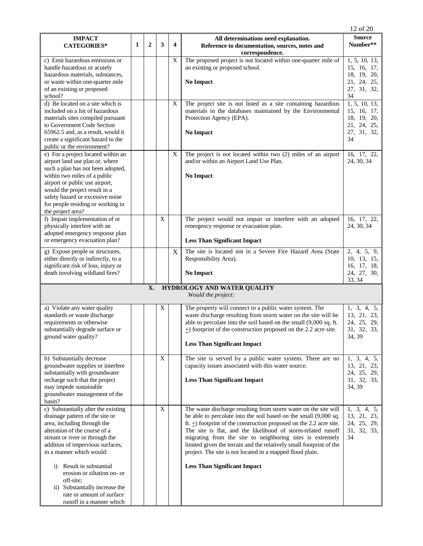|                                                                                                                                                                                                                                                                                                             |   |                |                           |   |                                                                                                                                                                                                                                                                                                                                                                                                                                                                                  | 12 of 20                                                                                     |
|-------------------------------------------------------------------------------------------------------------------------------------------------------------------------------------------------------------------------------------------------------------------------------------------------------------|---|----------------|---------------------------|---|----------------------------------------------------------------------------------------------------------------------------------------------------------------------------------------------------------------------------------------------------------------------------------------------------------------------------------------------------------------------------------------------------------------------------------------------------------------------------------|----------------------------------------------------------------------------------------------|
| <b>IMPACT</b><br><b>CATEGORIES*</b>                                                                                                                                                                                                                                                                         | 1 | $\overline{2}$ | 3                         | 4 | All determinations need explanation.<br>Reference to documentation, sources, notes and<br>correspondence.                                                                                                                                                                                                                                                                                                                                                                        | <b>Source</b><br>Number**                                                                    |
| c) Emit hazardous emissions or<br>handle hazardous or acutely<br>hazardous materials, substances,<br>or waste within one-quarter mile<br>of an existing or proposed<br>school?                                                                                                                              |   |                |                           | X | The proposed project is not located within one-quarter mile of<br>an existing or proposed school.<br><b>No Impact</b>                                                                                                                                                                                                                                                                                                                                                            | $1, 5, 10, \overline{13,}$<br>15, 16, 17,<br>18, 19, 20,<br>21, 24, 25,<br>27, 31, 32,<br>34 |
| d) Be located on a site which is<br>included on a list of hazardous<br>materials sites compiled pursuant<br>to Government Code Section<br>65962.5 and, as a result, would it<br>create a significant hazard to the<br>public or the environment?                                                            |   |                |                           | X | The project site is not listed as a site containing hazardous<br>materials in the databases maintained by the Environmental<br>Protection Agency (EPA).<br><b>No Impact</b>                                                                                                                                                                                                                                                                                                      | 1, 5, 10, 13,<br>15, 16, 17,<br>18, 19, 20,<br>21, 24, 25,<br>27, 31, 32,<br>34              |
| e) For a project located within an<br>airport land use plan or, where<br>such a plan has not been adopted,<br>within two miles of a public<br>airport or public use airport,<br>would the project result in a<br>safety hazard or excessive noise<br>for people residing or working in<br>the project area? |   |                |                           | X | The project is not located within two (2) miles of an airport<br>and/or within an Airport Land Use Plan.<br><b>No Impact</b>                                                                                                                                                                                                                                                                                                                                                     | 16, 17, 22,<br>24, 30, 34                                                                    |
| f) Impair implementation of or<br>physically interfere with an<br>adopted emergency response plan<br>or emergency evacuation plan?                                                                                                                                                                          |   |                | $\mathbf X$               |   | The project would not impair or interfere with an adopted<br>emergency response or evacuation plan.<br><b>Less Than Significant Impact</b>                                                                                                                                                                                                                                                                                                                                       | 16, 17, 22,<br>24, 30, 34                                                                    |
| g) Expose people or structures,<br>either directly or indirectly, to a<br>significant risk of loss, injury or<br>death involving wildland fires?                                                                                                                                                            |   |                |                           | X | The site is located not in a Severe Fire Hazard Area (State<br>Responsibility Area).<br><b>No Impact</b>                                                                                                                                                                                                                                                                                                                                                                         | 2, 4, 5, 9,<br>10, 13, 15,<br>16, 17, 18,<br>24, 27, 30,<br>33, 34                           |
|                                                                                                                                                                                                                                                                                                             |   | X.             |                           |   | HYDROLOGY AND WATER QUALITY<br>Would the project:                                                                                                                                                                                                                                                                                                                                                                                                                                |                                                                                              |
| a) Violate any water quality<br>standards or waste discharge<br>requirements or otherwise<br>substantially degrade surface or<br>ground water quality?                                                                                                                                                      |   |                | X                         |   | The property will connect to a public water system. The<br>waste discharge resulting from storm water on the site will be<br>able to percolate into the soil based on the small (9,000 sq. ft.<br>$\pm$ ) footprint of the construction proposed on the 2.2 acre site.<br><b>Less Than Significant Impact</b>                                                                                                                                                                    | 1, 3, 4, 5,<br>13, 21, 23,<br>24, 25, 29,<br>31, 32, 33,<br>34, 39                           |
| b) Substantially decrease<br>groundwater supplies or interfere<br>substantially with groundwater<br>recharge such that the project<br>may impede sustainable<br>groundwater management of the<br>basin?                                                                                                     |   |                | $\boldsymbol{\mathrm{X}}$ |   | The site is served by a public water system. There are no<br>capacity issues associated with this water source.<br><b>Less Than Significant Impact</b>                                                                                                                                                                                                                                                                                                                           | 1, 3, 4, 5,<br>13, 21, 23,<br>24, 25, 29,<br>31, 32, 33,<br>34, 39                           |
| c) Substantially alter the existing<br>drainage pattern of the site or<br>area, including through the<br>alteration of the course of a<br>stream or river or through the<br>addition of impervious surfaces,<br>in a manner which would:                                                                    |   |                | X                         |   | The waste discharge resulting from storm water on the site will<br>be able to percolate into the soil based on the small (9,000 sq.<br>ft. $\pm$ ) footprint of the construction proposed on the 2.2 acre site.<br>The site is flat, and the likelihood of storm-related runoff<br>migrating from the site to neighboring sites is extremely<br>limited given the terrain and the relatively small footprint of the<br>project. The site is not located in a mapped flood plain. | 1, 3, 4, 5,<br>13, 21, 23,<br>24, 25, 29,<br>31, 32, 33,<br>34                               |
| i) Result in substantial<br>erosion or siltation on- or<br>off-site;<br>ii) Substantially increase the<br>rate or amount of surface<br>runoff in a manner which                                                                                                                                             |   |                |                           |   | <b>Less Than Significant Impact</b>                                                                                                                                                                                                                                                                                                                                                                                                                                              |                                                                                              |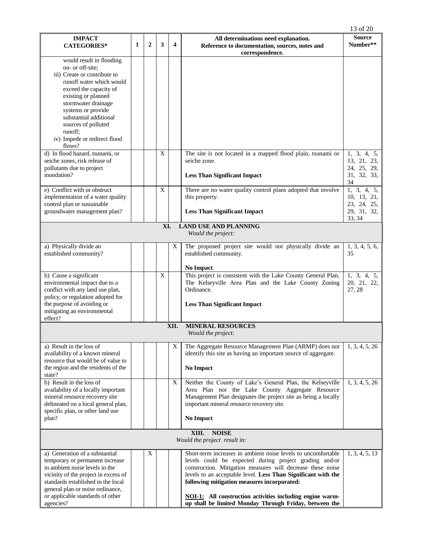|                                                                                                                                                                                                                                                                                                                                                                                                                                                              |                                                           |                |             |                         |                                                                                                                                                                                                                                                                                                                                                                                                                               | 13 of 20                                                                      |  |  |  |  |  |
|--------------------------------------------------------------------------------------------------------------------------------------------------------------------------------------------------------------------------------------------------------------------------------------------------------------------------------------------------------------------------------------------------------------------------------------------------------------|-----------------------------------------------------------|----------------|-------------|-------------------------|-------------------------------------------------------------------------------------------------------------------------------------------------------------------------------------------------------------------------------------------------------------------------------------------------------------------------------------------------------------------------------------------------------------------------------|-------------------------------------------------------------------------------|--|--|--|--|--|
| <b>IMPACT</b><br><b>CATEGORIES*</b>                                                                                                                                                                                                                                                                                                                                                                                                                          | 1                                                         | $\overline{2}$ | 3           | $\overline{\mathbf{4}}$ | All determinations need explanation.<br>Reference to documentation, sources, notes and                                                                                                                                                                                                                                                                                                                                        | <b>Source</b><br>Number**                                                     |  |  |  |  |  |
| would result in flooding<br>on- or off-site;<br>iii) Create or contribute to<br>runoff water which would<br>exceed the capacity of<br>existing or planned<br>stormwater drainage<br>systems or provide<br>substantial additional<br>sources of polluted<br>runoff:<br>iv) Impede or redirect flood<br>flows?<br>d) In flood hazard, tsunami, or<br>seiche zones, risk release of<br>pollutants due to project<br>inundation?<br>e) Conflict with or obstruct |                                                           |                | X<br>X      |                         | correspondence.<br>The site is not located in a mapped flood plain, tsunami or<br>seiche zone.<br><b>Less Than Significant Impact</b><br>There are no water quality control plans adopted that involve                                                                                                                                                                                                                        | 1, 3, 4, 5,<br>13, 21, 23,<br>24, 25, 29,<br>31, 32, 33,<br>34<br>1, 3, 4, 5, |  |  |  |  |  |
| implementation of a water quality<br>control plan or sustainable<br>groundwater management plan?                                                                                                                                                                                                                                                                                                                                                             |                                                           |                |             |                         | this property.<br><b>Less Than Significant Impact</b>                                                                                                                                                                                                                                                                                                                                                                         | 10, 13, 21,<br>23, 24, 25,<br>29, 31, 32,<br>33, 34                           |  |  |  |  |  |
|                                                                                                                                                                                                                                                                                                                                                                                                                                                              | <b>LAND USE AND PLANNING</b><br>XI.<br>Would the project: |                |             |                         |                                                                                                                                                                                                                                                                                                                                                                                                                               |                                                                               |  |  |  |  |  |
| a) Physically divide an<br>established community?                                                                                                                                                                                                                                                                                                                                                                                                            |                                                           |                |             | X                       | The proposed project site would not physically divide an<br>established community.<br><b>No Impact</b>                                                                                                                                                                                                                                                                                                                        | 1, 3, 4, 5, 6,<br>35                                                          |  |  |  |  |  |
| b) Cause a significant<br>environmental impact due to a<br>conflict with any land use plan,<br>policy, or regulation adopted for<br>the purpose of avoiding or<br>mitigating an environmental<br>effect?                                                                                                                                                                                                                                                     |                                                           |                | $\mathbf X$ |                         | This project is consistent with the Lake County General Plan,<br>The Kelseyville Area Plan and the Lake County Zoning<br>Ordinance.<br><b>Less Than Significant Impact</b>                                                                                                                                                                                                                                                    | 1, 3, 4, 5,<br>20, 21, 22,<br>27, 28                                          |  |  |  |  |  |
|                                                                                                                                                                                                                                                                                                                                                                                                                                                              |                                                           |                |             | XII.                    | <b>MINERAL RESOURCES</b><br>Would the project:                                                                                                                                                                                                                                                                                                                                                                                |                                                                               |  |  |  |  |  |
| a) Result in the loss of<br>availability of a known mineral<br>resource that would be of value to<br>the region and the residents of the<br>state?                                                                                                                                                                                                                                                                                                           |                                                           |                |             | X                       | The Aggregate Resource Management Plan (ARMP) does not<br>identify this site as having an important source of aggregate.<br><b>No Impact</b>                                                                                                                                                                                                                                                                                  | 1, 3, 4, 5, 26                                                                |  |  |  |  |  |
| b) Result in the loss of<br>availability of a locally important<br>mineral resource recovery site<br>delineated on a local general plan,<br>specific plan, or other land use<br>plan?                                                                                                                                                                                                                                                                        |                                                           |                |             | X                       | Neither the County of Lake's General Plan, the Kelseyville<br>Area Plan nor the Lake County Aggregate Resource<br>Management Plan designates the project site as being a locally<br>important mineral resource recovery site.<br><b>No Impact</b>                                                                                                                                                                             | 1, 3, 4, 5, 26                                                                |  |  |  |  |  |
|                                                                                                                                                                                                                                                                                                                                                                                                                                                              |                                                           |                |             |                         | XIII.<br><b>NOISE</b><br>Would the project result in:                                                                                                                                                                                                                                                                                                                                                                         |                                                                               |  |  |  |  |  |
| a) Generation of a substantial<br>temporary or permanent increase<br>in ambient noise levels in the<br>vicinity of the project in excess of<br>standards established in the local<br>general plan or noise ordinance,<br>or applicable standards of other<br>agencies?                                                                                                                                                                                       |                                                           | X              |             |                         | Short-term increases in ambient noise levels to uncomfortable<br>levels could be expected during project grading and/or<br>construction. Mitigation measures will decrease these noise<br>levels to an acceptable level. Less Than Significant with the<br>following mitigation measures incorporated:<br>NOI-1: All construction activities including engine warm-<br>up shall be limited Monday Through Friday, between the | 1, 3, 4, 5, 13                                                                |  |  |  |  |  |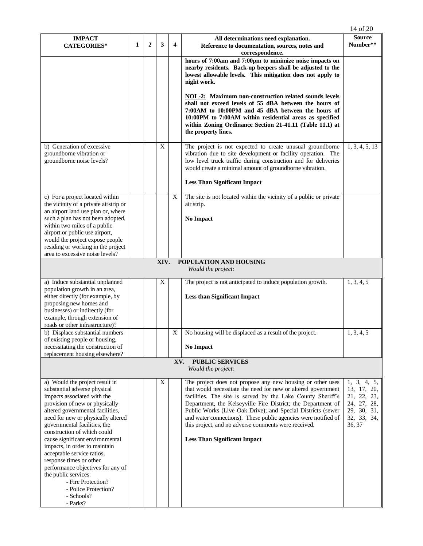|                                                                                                                                                                                                                                                                                                                                                                                                                                                                                                                                            |   |                |      |                         |                                                                                                                                                                                                                                                                                                                                                                                                                                                                                            | 14 of 20                                                                                         |
|--------------------------------------------------------------------------------------------------------------------------------------------------------------------------------------------------------------------------------------------------------------------------------------------------------------------------------------------------------------------------------------------------------------------------------------------------------------------------------------------------------------------------------------------|---|----------------|------|-------------------------|--------------------------------------------------------------------------------------------------------------------------------------------------------------------------------------------------------------------------------------------------------------------------------------------------------------------------------------------------------------------------------------------------------------------------------------------------------------------------------------------|--------------------------------------------------------------------------------------------------|
| <b>IMPACT</b><br><b>CATEGORIES*</b>                                                                                                                                                                                                                                                                                                                                                                                                                                                                                                        | 1 | $\overline{2}$ | 3    | $\overline{\mathbf{4}}$ | All determinations need explanation.<br>Reference to documentation, sources, notes and<br>correspondence.                                                                                                                                                                                                                                                                                                                                                                                  | <b>Source</b><br>Number**                                                                        |
|                                                                                                                                                                                                                                                                                                                                                                                                                                                                                                                                            |   |                |      |                         | hours of 7:00am and 7:00pm to minimize noise impacts on<br>nearby residents. Back-up beepers shall be adjusted to the<br>lowest allowable levels. This mitigation does not apply to<br>night work.                                                                                                                                                                                                                                                                                         |                                                                                                  |
|                                                                                                                                                                                                                                                                                                                                                                                                                                                                                                                                            |   |                |      |                         | <b>NOI -2:</b> Maximum non-construction related sounds levels<br>shall not exceed levels of 55 dBA between the hours of<br>7:00AM to 10:00PM and 45 dBA between the hours of<br>10:00PM to 7:00AM within residential areas as specified<br>within Zoning Ordinance Section 21-41.11 (Table 11.1) at<br>the property lines.                                                                                                                                                                 |                                                                                                  |
| b) Generation of excessive<br>groundborne vibration or<br>groundborne noise levels?                                                                                                                                                                                                                                                                                                                                                                                                                                                        |   |                | X    |                         | The project is not expected to create unusual groundborne<br>vibration due to site development or facility operation. The<br>low level truck traffic during construction and for deliveries<br>would create a minimal amount of groundborne vibration.<br><b>Less Than Significant Impact</b>                                                                                                                                                                                              | 1, 3, 4, 5, 13                                                                                   |
|                                                                                                                                                                                                                                                                                                                                                                                                                                                                                                                                            |   |                |      |                         |                                                                                                                                                                                                                                                                                                                                                                                                                                                                                            |                                                                                                  |
| c) For a project located within<br>the vicinity of a private airstrip or<br>an airport land use plan or, where                                                                                                                                                                                                                                                                                                                                                                                                                             |   |                |      | X                       | The site is not located within the vicinity of a public or private<br>air strip.                                                                                                                                                                                                                                                                                                                                                                                                           |                                                                                                  |
| such a plan has not been adopted,<br>within two miles of a public<br>airport or public use airport,<br>would the project expose people<br>residing or working in the project                                                                                                                                                                                                                                                                                                                                                               |   |                |      |                         | No Impact                                                                                                                                                                                                                                                                                                                                                                                                                                                                                  |                                                                                                  |
| area to excessive noise levels?                                                                                                                                                                                                                                                                                                                                                                                                                                                                                                            |   |                | XIV. |                         | POPULATION AND HOUSING                                                                                                                                                                                                                                                                                                                                                                                                                                                                     |                                                                                                  |
|                                                                                                                                                                                                                                                                                                                                                                                                                                                                                                                                            |   |                |      |                         | Would the project:                                                                                                                                                                                                                                                                                                                                                                                                                                                                         |                                                                                                  |
| a) Induce substantial unplanned                                                                                                                                                                                                                                                                                                                                                                                                                                                                                                            |   |                | Χ    |                         | The project is not anticipated to induce population growth.                                                                                                                                                                                                                                                                                                                                                                                                                                | 1, 3, 4, 5                                                                                       |
| population growth in an area,<br>either directly (for example, by<br>proposing new homes and<br>businesses) or indirectly (for<br>example, through extension of<br>roads or other infrastructure)?                                                                                                                                                                                                                                                                                                                                         |   |                |      |                         | <b>Less than Significant Impact</b>                                                                                                                                                                                                                                                                                                                                                                                                                                                        |                                                                                                  |
| b) Displace substantial numbers                                                                                                                                                                                                                                                                                                                                                                                                                                                                                                            |   |                |      |                         | $X \mid$ No housing will be displaced as a result of the project.                                                                                                                                                                                                                                                                                                                                                                                                                          | 1, 3, 4, 5                                                                                       |
| of existing people or housing,<br>necessitating the construction of<br>replacement housing elsewhere?                                                                                                                                                                                                                                                                                                                                                                                                                                      |   |                |      |                         | <b>No Impact</b>                                                                                                                                                                                                                                                                                                                                                                                                                                                                           |                                                                                                  |
|                                                                                                                                                                                                                                                                                                                                                                                                                                                                                                                                            |   |                |      | XV.                     | <b>PUBLIC SERVICES</b>                                                                                                                                                                                                                                                                                                                                                                                                                                                                     |                                                                                                  |
|                                                                                                                                                                                                                                                                                                                                                                                                                                                                                                                                            |   |                |      |                         | Would the project:                                                                                                                                                                                                                                                                                                                                                                                                                                                                         |                                                                                                  |
| a) Would the project result in<br>substantial adverse physical<br>impacts associated with the<br>provision of new or physically<br>altered governmental facilities,<br>need for new or physically altered<br>governmental facilities, the<br>construction of which could<br>cause significant environmental<br>impacts, in order to maintain<br>acceptable service ratios,<br>response times or other<br>performance objectives for any of<br>the public services:<br>- Fire Protection?<br>- Police Protection?<br>- Schools?<br>- Parks? |   |                | X    |                         | The project does not propose any new housing or other uses<br>that would necessitate the need for new or altered government<br>facilities. The site is served by the Lake County Sheriff's<br>Department, the Kelseyville Fire District; the Department of<br>Public Works (Live Oak Drive); and Special Districts (sewer<br>and water connections). These public agencies were notified of<br>this project, and no adverse comments were received.<br><b>Less Than Significant Impact</b> | 1, 3, 4, 5,<br>13, 17, 20,<br>21, 22, 23,<br>24, 27, 28,<br>29, 30, 31,<br>32, 33, 34,<br>36, 37 |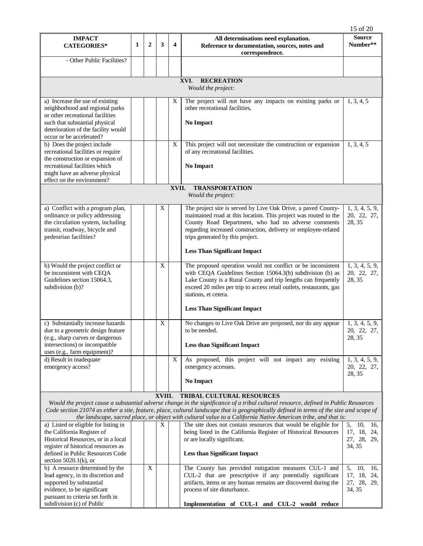|                                                                                                                                                                                                                                                            |                                                      |                |             |                         |                                                                                                                                                                                                                                                                                                | 15 of 20                                              |  |  |  |  |
|------------------------------------------------------------------------------------------------------------------------------------------------------------------------------------------------------------------------------------------------------------|------------------------------------------------------|----------------|-------------|-------------------------|------------------------------------------------------------------------------------------------------------------------------------------------------------------------------------------------------------------------------------------------------------------------------------------------|-------------------------------------------------------|--|--|--|--|
| <b>IMPACT</b><br><b>CATEGORIES*</b>                                                                                                                                                                                                                        | 1                                                    | $\overline{2}$ | 3           | $\overline{\mathbf{4}}$ | All determinations need explanation.<br>Reference to documentation, sources, notes and<br>correspondence.                                                                                                                                                                                      | <b>Source</b><br>Number**                             |  |  |  |  |
| - Other Public Facilities?                                                                                                                                                                                                                                 |                                                      |                |             |                         |                                                                                                                                                                                                                                                                                                |                                                       |  |  |  |  |
| <b>RECREATION</b><br>XVI.<br>Would the project:                                                                                                                                                                                                            |                                                      |                |             |                         |                                                                                                                                                                                                                                                                                                |                                                       |  |  |  |  |
| a) Increase the use of existing<br>neighborhood and regional parks<br>or other recreational facilities<br>such that substantial physical<br>deterioration of the facility would<br>occur or be accelerated?                                                |                                                      |                |             | X                       | The project will not have any impacts on existing parks or<br>other recreational facilities.<br><b>No Impact</b>                                                                                                                                                                               | 1, 3, 4, 5                                            |  |  |  |  |
| b) Does the project include<br>recreational facilities or require<br>the construction or expansion of<br>recreational facilities which<br>might have an adverse physical<br>effect on the environment?                                                     |                                                      |                |             | X                       | This project will not necessitate the construction or expansion<br>of any recreational facilities.<br>No Impact                                                                                                                                                                                | 1, 3, 4, 5                                            |  |  |  |  |
|                                                                                                                                                                                                                                                            | XVII.<br><b>TRANSPORTATION</b><br>Would the project: |                |             |                         |                                                                                                                                                                                                                                                                                                |                                                       |  |  |  |  |
| a) Conflict with a program plan,<br>ordinance or policy addressing<br>the circulation system, including<br>transit, roadway, bicycle and<br>pedestrian facilities?                                                                                         |                                                      |                | X           |                         | The project site is served by Live Oak Drive, a paved County-<br>maintained road at this location. This project was routed to the<br>County Road Department, who had no adverse comments<br>regarding increased construction, delivery or employee-related<br>trips generated by this project. | 1, 3, 4, 5, 9,<br>20, 22, 27,<br>28, 35               |  |  |  |  |
|                                                                                                                                                                                                                                                            |                                                      |                |             |                         | <b>Less Than Significant Impact</b>                                                                                                                                                                                                                                                            |                                                       |  |  |  |  |
| b) Would the project conflict or<br>be inconsistent with CEQA<br>Guidelines section 15064.3,<br>subdivision (b)?                                                                                                                                           |                                                      |                | $\mathbf X$ |                         | The proposed operation would not conflict or be inconsistent<br>with CEQA Guidelines Section 15064.3(b) subdivision (b) as<br>Lake County is a Rural County and trip lengths can frequently<br>exceed 20 miles per trip to access retail outlets, restaurants, gas<br>stations, et cetera.     | 1, 3, 4, 5, 9,<br>20, 22, 27,<br>28, 35               |  |  |  |  |
|                                                                                                                                                                                                                                                            |                                                      |                |             |                         | <b>Less Than Significant Impact</b>                                                                                                                                                                                                                                                            |                                                       |  |  |  |  |
| c) Substantially increase hazards<br>due to a geometric design feature<br>(e.g., sharp curves or dangerous<br>intersections) or incompatible<br>uses (e.g., farm equipment)?                                                                               |                                                      |                | X           |                         | No changes to Live Oak Drive are proposed, nor do any appear<br>to be needed.<br><b>Less than Significant Impact</b>                                                                                                                                                                           | 1, 3, 4, 5, 9,<br>20, 22, 27,<br>28, 35               |  |  |  |  |
| d) Result in inadequate<br>emergency access?                                                                                                                                                                                                               |                                                      |                |             | X                       | As proposed, this project will not impact any existing<br>emergency accesses.<br><b>No Impact</b>                                                                                                                                                                                              | 1, 3, 4, 5, 9,<br>20, 22, 27,<br>28, 35               |  |  |  |  |
|                                                                                                                                                                                                                                                            |                                                      |                | XVIII.      |                         | TRIBAL CULTURAL RESOURCES<br>Would the project cause a substantial adverse change in the significance of a tribal cultural resource, defined in Public Resources                                                                                                                               |                                                       |  |  |  |  |
| Code section 21074 as either a site, feature, place, cultural landscape that is geographically defined in terms of the size and scope of<br>the landscape, sacred place, or object with cultural value to a California Native American tribe, and that is: |                                                      |                |             |                         |                                                                                                                                                                                                                                                                                                |                                                       |  |  |  |  |
| a) Listed or eligible for listing in<br>the California Register of<br>Historical Resources, or in a local<br>register of historical resources as                                                                                                           |                                                      |                | X           |                         | The site does not contain resources that would be eligible for<br>being listed in the California Register of Historical Resources<br>or are locally significant.                                                                                                                               | 5, 10,<br>16,<br>17, 18, 24,<br>27, 28, 29,<br>34, 35 |  |  |  |  |
| defined in Public Resources Code<br>section $5020.1(k)$ , or                                                                                                                                                                                               |                                                      |                |             |                         | <b>Less than Significant Impact</b>                                                                                                                                                                                                                                                            |                                                       |  |  |  |  |
| b) A resource determined by the<br>lead agency, in its discretion and<br>supported by substantial<br>evidence, to be significant<br>pursuant to criteria set forth in<br>subdivision (c) of Public                                                         |                                                      | X              |             |                         | The County has provided mitigation measures CUL-1 and<br>CUL-2 that are prescriptive if any potentially significant<br>artifacts, items or any human remains are discovered during the<br>process of site disturbance.<br>Implementation of CUL-1 and CUL-2 would reduce                       | 5, 10,<br>16,<br>17, 18, 24,<br>27, 28, 29,<br>34, 35 |  |  |  |  |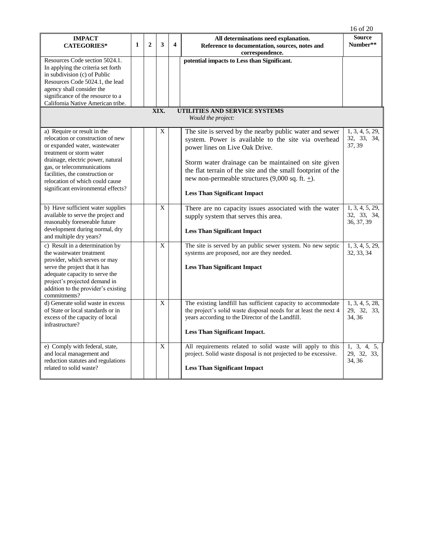|                                                                                                                                                                                                                                                                                                              |              |                |                           |                         |                                                                                                                                                                                                                                                                                                                                                                        | 16 of 20                                     |  |  |  |
|--------------------------------------------------------------------------------------------------------------------------------------------------------------------------------------------------------------------------------------------------------------------------------------------------------------|--------------|----------------|---------------------------|-------------------------|------------------------------------------------------------------------------------------------------------------------------------------------------------------------------------------------------------------------------------------------------------------------------------------------------------------------------------------------------------------------|----------------------------------------------|--|--|--|
| <b>IMPACT</b><br><b>CATEGORIES*</b>                                                                                                                                                                                                                                                                          | $\mathbf{1}$ | $\overline{2}$ | 3                         | $\overline{\mathbf{4}}$ | All determinations need explanation.<br>Reference to documentation, sources, notes and<br>correspondence.                                                                                                                                                                                                                                                              | <b>Source</b><br>Number**                    |  |  |  |
| Resources Code section 5024.1.<br>In applying the criteria set forth<br>in subdivision (c) of Public<br>Resources Code 5024.1, the lead<br>agency shall consider the<br>significance of the resource to a<br>California Native American tribe.                                                               |              |                |                           |                         | potential impacts to Less than Significant.                                                                                                                                                                                                                                                                                                                            |                                              |  |  |  |
| XIX.<br>UTILITIES AND SERVICE SYSTEMS<br>Would the project:                                                                                                                                                                                                                                                  |              |                |                           |                         |                                                                                                                                                                                                                                                                                                                                                                        |                                              |  |  |  |
| a) Require or result in the<br>relocation or construction of new<br>or expanded water, wastewater<br>treatment or storm water<br>drainage, electric power, natural<br>gas, or telecommunications<br>facilities, the construction or<br>relocation of which could cause<br>significant environmental effects? |              |                | X                         |                         | The site is served by the nearby public water and sewer<br>system. Power is available to the site via overhead<br>power lines on Live Oak Drive.<br>Storm water drainage can be maintained on site given<br>the flat terrain of the site and the small footprint of the<br>new non-permeable structures (9,000 sq. ft. $\pm$ ).<br><b>Less Than Significant Impact</b> | 1, 3, 4, 5, 29,<br>32, 33, 34,<br>37, 39     |  |  |  |
| b) Have sufficient water supplies<br>available to serve the project and<br>reasonably foreseeable future<br>development during normal, dry<br>and multiple dry years?                                                                                                                                        |              |                | $\mathbf{X}$              |                         | There are no capacity issues associated with the water<br>supply system that serves this area.<br><b>Less Than Significant Impact</b>                                                                                                                                                                                                                                  | 1, 3, 4, 5, 29,<br>32, 33, 34,<br>36, 37, 39 |  |  |  |
| c) Result in a determination by<br>the wastewater treatment<br>provider, which serves or may<br>serve the project that it has<br>adequate capacity to serve the<br>project's projected demand in<br>addition to the provider's existing<br>commitments?                                                      |              |                | $\boldsymbol{\mathrm{X}}$ |                         | The site is served by an public sewer system. No new septic<br>systems are proposed, nor are they needed.<br><b>Less Than Significant Impact</b>                                                                                                                                                                                                                       | 1, 3, 4, 5, 29,<br>32, 33, 34                |  |  |  |
| d) Generate solid waste in excess<br>of State or local standards or in<br>excess of the capacity of local<br>infrastructure?                                                                                                                                                                                 |              |                | X                         |                         | The existing landfill has sufficient capacity to accommodate<br>the project's solid waste disposal needs for at least the next 4<br>years according to the Director of the Landfill.<br><b>Less Than Significant Impact.</b>                                                                                                                                           | 1, 3, 4, 5, 28,<br>29, 32, 33,<br>34, 36     |  |  |  |
| e) Comply with federal, state,<br>and local management and<br>reduction statutes and regulations<br>related to solid waste?                                                                                                                                                                                  |              |                | X                         |                         | All requirements related to solid waste will apply to this<br>project. Solid waste disposal is not projected to be excessive.<br><b>Less Than Significant Impact</b>                                                                                                                                                                                                   | 1, 3, 4, 5,<br>29, 32, 33,<br>34, 36         |  |  |  |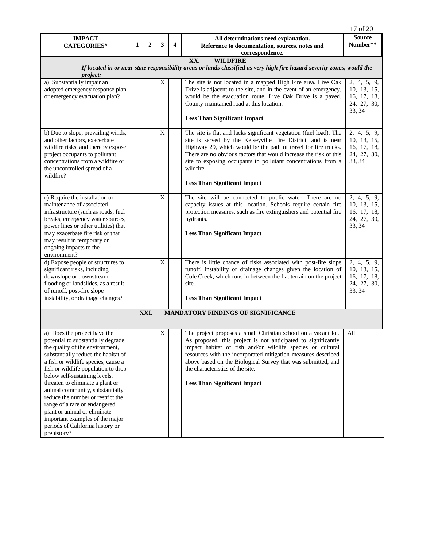|                                                                                                                                                                                                                                                                                                                                                                                                                                                                                                                                |   |                |             |                         |                                                                                                                                                                                                                                                                                                                                                                                                           | 17 of 20                                                           |  |  |  |  |
|--------------------------------------------------------------------------------------------------------------------------------------------------------------------------------------------------------------------------------------------------------------------------------------------------------------------------------------------------------------------------------------------------------------------------------------------------------------------------------------------------------------------------------|---|----------------|-------------|-------------------------|-----------------------------------------------------------------------------------------------------------------------------------------------------------------------------------------------------------------------------------------------------------------------------------------------------------------------------------------------------------------------------------------------------------|--------------------------------------------------------------------|--|--|--|--|
| <b>IMPACT</b><br><b>CATEGORIES*</b>                                                                                                                                                                                                                                                                                                                                                                                                                                                                                            | 1 | $\overline{2}$ | 3           | $\overline{\mathbf{4}}$ | All determinations need explanation.<br>Reference to documentation, sources, notes and<br>correspondence.                                                                                                                                                                                                                                                                                                 | <b>Source</b><br>Number**                                          |  |  |  |  |
| XX.<br><b>WILDFIRE</b><br>If located in or near state responsibility areas or lands classified as very high fire hazard severity zones, would the<br><i>project:</i>                                                                                                                                                                                                                                                                                                                                                           |   |                |             |                         |                                                                                                                                                                                                                                                                                                                                                                                                           |                                                                    |  |  |  |  |
| a) Substantially impair an<br>adopted emergency response plan<br>or emergency evacuation plan?                                                                                                                                                                                                                                                                                                                                                                                                                                 |   |                | X           |                         | The site is not located in a mapped High Fire area. Live Oak<br>Drive is adjacent to the site, and in the event of an emergency,<br>would be the evacuation route. Live Oak Drive is a paved,<br>County-maintained road at this location.<br><b>Less Than Significant Impact</b>                                                                                                                          | 2, 4, 5, 9,<br>10, 13, 15,<br>16, 17, 18,<br>24, 27, 30,<br>33, 34 |  |  |  |  |
| b) Due to slope, prevailing winds,<br>and other factors, exacerbate<br>wildfire risks, and thereby expose<br>project occupants to pollutant<br>concentrations from a wildfire or<br>the uncontrolled spread of a<br>wildfire?                                                                                                                                                                                                                                                                                                  |   |                | $\mathbf X$ |                         | The site is flat and lacks significant vegetation (fuel load). The<br>site is served by the Kelseyville Fire District, and is near<br>Highway 29, which would be the path of travel for fire trucks.<br>There are no obvious factors that would increase the risk of this<br>site to exposing occupants to pollutant concentrations from a<br>wildfire.<br><b>Less Than Significant Impact</b>            | 2, 4, 5, 9,<br>10, 13, 15,<br>16, 17, 18,<br>24, 27, 30,<br>33, 34 |  |  |  |  |
| c) Require the installation or<br>maintenance of associated<br>infrastructure (such as roads, fuel<br>breaks, emergency water sources,<br>power lines or other utilities) that<br>may exacerbate fire risk or that<br>may result in temporary or<br>ongoing impacts to the<br>environment?                                                                                                                                                                                                                                     |   |                | X           |                         | The site will be connected to public water. There are no<br>capacity issues at this location. Schools require certain fire<br>protection measures, such as fire extinguishers and potential fire<br>hydrants.<br><b>Less Than Significant Impact</b>                                                                                                                                                      | 2, 4, 5, 9,<br>10, 13, 15,<br>16, 17, 18,<br>24, 27, 30,<br>33, 34 |  |  |  |  |
| d) Expose people or structures to<br>significant risks, including<br>downslope or downstream<br>flooding or landslides, as a result<br>of runoff, post-fire slope<br>instability, or drainage changes?                                                                                                                                                                                                                                                                                                                         |   |                | $\mathbf X$ |                         | There is little chance of risks associated with post-fire slope<br>runoff, instability or drainage changes given the location of<br>Cole Creek, which runs in between the flat terrain on the project<br>site.<br><b>Less Than Significant Impact</b>                                                                                                                                                     | 2, 4, 5, 9,<br>10, 13, 15,<br>16, 17, 18,<br>24, 27, 30,<br>33, 34 |  |  |  |  |
| XXI.<br><b>MANDATORY FINDINGS OF SIGNIFICANCE</b>                                                                                                                                                                                                                                                                                                                                                                                                                                                                              |   |                |             |                         |                                                                                                                                                                                                                                                                                                                                                                                                           |                                                                    |  |  |  |  |
| a) Does the project have the<br>potential to substantially degrade<br>the quality of the environment,<br>substantially reduce the habitat of<br>a fish or wildlife species, cause a<br>fish or wildlife population to drop<br>below self-sustaining levels,<br>threaten to eliminate a plant or<br>animal community, substantially<br>reduce the number or restrict the<br>range of a rare or endangered<br>plant or animal or eliminate<br>important examples of the major<br>periods of California history or<br>prehistory? |   |                | $\mathbf X$ |                         | The project proposes a small Christian school on a vacant lot.<br>As proposed, this project is not anticipated to significantly<br>impact habitat of fish and/or wildlife species or cultural<br>resources with the incorporated mitigation measures described<br>above based on the Biological Survey that was submitted, and<br>the characteristics of the site.<br><b>Less Than Significant Impact</b> | All                                                                |  |  |  |  |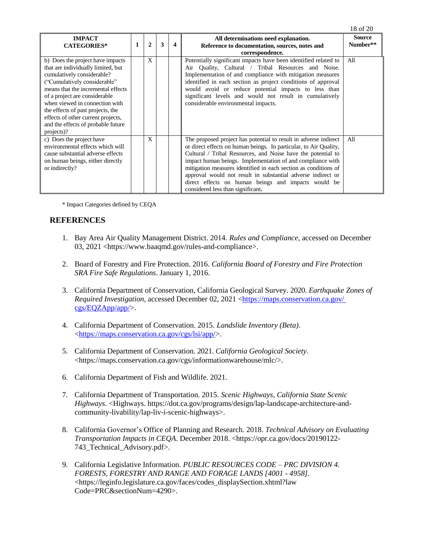|                                                                                                                                                                                                                                                                                                                                                                              |              |   |   |                                                                                                                                                                                                                                                                                                                                                                                                                                                                                                    | 18 of 20                  |
|------------------------------------------------------------------------------------------------------------------------------------------------------------------------------------------------------------------------------------------------------------------------------------------------------------------------------------------------------------------------------|--------------|---|---|----------------------------------------------------------------------------------------------------------------------------------------------------------------------------------------------------------------------------------------------------------------------------------------------------------------------------------------------------------------------------------------------------------------------------------------------------------------------------------------------------|---------------------------|
| <b>IMPACT</b><br><b>CATEGORIES*</b>                                                                                                                                                                                                                                                                                                                                          | $\mathbf{2}$ | 3 | 4 | All determinations need explanation.<br>Reference to documentation, sources, notes and<br>correspondence.                                                                                                                                                                                                                                                                                                                                                                                          | <b>Source</b><br>Number** |
| b) Does the project have impacts<br>that are individually limited, but<br>cumulatively considerable?<br>("Cumulatively considerable"<br>means that the incremental effects<br>of a project are considerable<br>when viewed in connection with<br>the effects of past projects, the<br>effects of other current projects,<br>and the effects of probable future<br>projects)? | X            |   |   | Potentially significant impacts have been identified related to<br>Air Quality, Cultural / Tribal Resources and Noise.<br>Implementation of and compliance with mitigation measures<br>identified in each section as project conditions of approval<br>would avoid or reduce potential impacts to less than<br>significant levels and would not result in cumulatively<br>considerable environmental impacts.                                                                                      | All                       |
| c) Does the project have<br>environmental effects which will<br>cause substantial adverse effects<br>on human beings, either directly<br>or indirectly?                                                                                                                                                                                                                      | X            |   |   | The proposed project has potential to result in adverse indirect<br>or direct effects on human beings. In particular, to Air Quality,<br>Cultural / Tribal Resources, and Noise have the potential to<br>impact human beings. Implementation of and compliance with<br>mitigation measures identified in each section as conditions of<br>approval would not result in substantial adverse indirect or<br>direct effects on human beings and impacts would be<br>considered less than significant. | All                       |

\* Impact Categories defined by CEQA

## **REFERENCES**

- 1. Bay Area Air Quality Management District. 2014. *Rules and Compliance*, accessed on December 03, 2021 <https://www.baaqmd.gov/rules-and-compliance>.
- 2. Board of Forestry and Fire Protection. 2016. *California Board of Forestry and Fire Protection SRA Fire Safe Regulations*. January 1, 2016.
- 3. California Department of Conservation, California Geological Survey. 2020. *Earthquake Zones of Required Investigation, accessed December 02, 2021* <https://maps.conservation.ca.gov/ cgs/EQZApp/app/>.
- 4. California Department of Conservation. 2015. *Landslide Inventory (Beta)*. <https://maps.conservation.ca.gov/cgs/lsi/app/>.
- 5. California Department of Conservation. 2021. *California Geological Society*. <https://maps.conservation.ca.gov/cgs/informationwarehouse/mlc/>.
- 6. California Department of Fish and Wildlife. 2021.
- 7. California Department of Transportation. 2015. *Scenic Highways, California State Scenic Highways.* <Highways. https://dot.ca.gov/programs/design/lap-landscape-architecture-andcommunity-livability/lap-liv-i-scenic-highways>.
- 8. California Governor's Office of Planning and Research. 2018. *Technical Advisory on Evaluating Transportation Impacts in CEQA*. December 2018. <https://opr.ca.gov/docs/20190122- 743\_Technical\_Advisory.pdf>.
- 9. California Legislative Information. *PUBLIC RESOURCES CODE – PRC DIVISION 4. FORESTS, FORESTRY AND RANGE AND FORAGE LANDS [4001 - 4958].*  <https://leginfo.legislature.ca.gov/faces/codes\_displaySection.xhtml?law Code=PRC&sectionNum=4290>.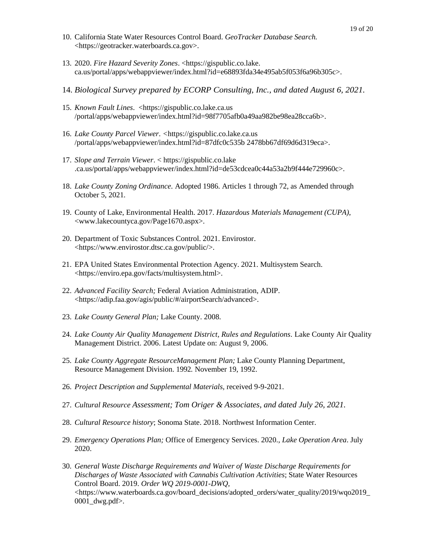- 10. California State Water Resources Control Board. *GeoTracker Database Search.*  <https://geotracker.waterboards.ca.gov>.
- 13. 2020. *Fire Hazard Severity Zones*. <https://gispublic.co.lake. ca.us/portal/apps/webappviewer/index.html?id=e68893fda34e495ab5f053f6a96b305c>.
- 14. *Biological Survey prepared by ECORP Consulting, Inc., and dated August 6, 2021.*
- 15. *Known Fault Lines*. <https://gispublic.co.lake.ca.us /portal/apps/webappviewer/index.html?id=98f7705afb0a49aa982be98ea28cca6b>.
- 16. *Lake County Parcel Viewer*. *<*https://gispublic.co.lake.ca.us /portal/apps/webappviewer/index.html?id=87dfc0c535b 2478bb67df69d6d319eca>.
- 17. *Slope and Terrain Viewer*. < https://gispublic.co.lake .ca.us/portal/apps/webappviewer/index.html?id=de53cdcea0c44a53a2b9f444e729960c>.
- 18. *Lake County Zoning Ordinance.* Adopted 1986. Articles 1 through 72, as Amended through October 5, 2021*.*
- 19. County of Lake, Environmental Health. 2017. *Hazardous Materials Management (CUPA)*, <www.lakecountyca.gov/Page1670.aspx>.
- 20. Department of Toxic Substances Control. 2021. Envirostor. <https://www.envirostor.dtsc.ca.gov/public/>.
- 21. EPA United States Environmental Protection Agency. 2021. Multisystem Search. <https://enviro.epa.gov/facts/multisystem.html>.
- 22. *Advanced Facility Search;* Federal Aviation Administration, ADIP. <https://adip.faa.gov/agis/public/#/airportSearch/advanced>.
- 23. *Lake County General Plan;* Lake County. 2008.
- 24. *Lake County Air Quality Management District, Rules and Regulations.* Lake County Air Quality Management District. 2006. Latest Update on: August 9, 2006.
- 25. *Lake County Aggregate ResourceManagement Plan;* Lake County Planning Department, Resource Management Division. 1992*.* November 19, 1992.
- 26. *Project Description and Supplemental Materials,* received 9-9-2021.
- 27. *Cultural Resource Assessment; Tom Origer & Associates, and dated July 26, 2021.*
- 28. *Cultural Resource history*; Sonoma State. 2018. Northwest Information Center.
- 29. *Emergency Operations Plan;* Office of Emergency Services. 2020.*, Lake Operation Area*. July 2020.
- 30. *General Waste Discharge Requirements and Waiver of Waste Discharge Requirements for Discharges of Waste Associated with Cannabis Cultivation Activities*; State Water Resources Control Board. 2019. *Order WQ 2019-0001-DWQ,* <http[s://ww](http://www.waterboards.ca.gov/board_decisions/adopted_orders/water_quality/2019/wqo2019_0001_dwg.pdf)w[.waterboards.ca.gov/board\\_decisions/adopted\\_orders/water\\_quality/2019/wqo2019\\_](http://www.waterboards.ca.gov/board_decisions/adopted_orders/water_quality/2019/wqo2019_0001_dwg.pdf) [0001\\_dwg.pdf>](http://www.waterboards.ca.gov/board_decisions/adopted_orders/water_quality/2019/wqo2019_0001_dwg.pdf).